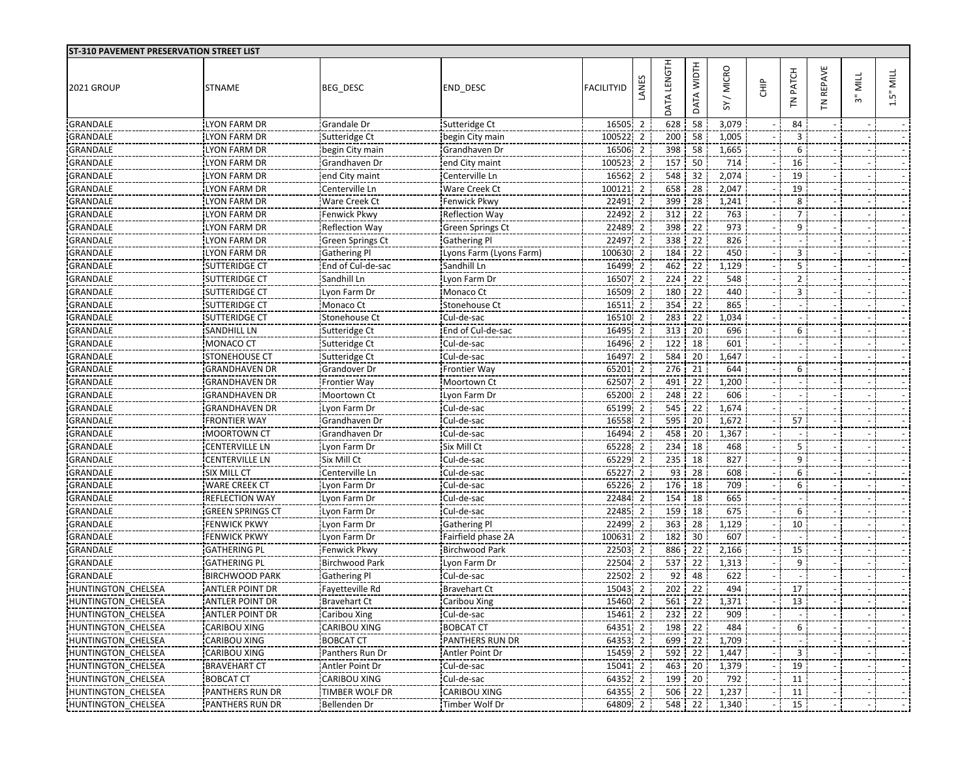| ST-310 PAVEMENT PRESERVATION STREET LIST |                         |                       |                         |            |                |             |                 |          |                          |                |                  |            |              |
|------------------------------------------|-------------------------|-----------------------|-------------------------|------------|----------------|-------------|-----------------|----------|--------------------------|----------------|------------------|------------|--------------|
| <b>2021 GROUP</b>                        | <b>STNAME</b>           | <b>BEG_DESC</b>       | END_DESC                | FACILITYID | LANES          | DATA LENGTH | DATA WIDTH      | SY/MICRO | 은<br>도                   | TN PATCH       | <b>TN REPAVE</b> | MILL<br>ౣఀ | MILL<br>1.5" |
| <b>GRANDALE</b>                          | <b>LYON FARM DR</b>     | <b>Grandale Dr</b>    | Sutteridge Ct           | 16505      | $\overline{2}$ | 628         | 58              | 3,079    |                          | 84             |                  |            |              |
| <b>GRANDALE</b>                          | <b>LYON FARM DR</b>     | Sutteridge Ct         | begin City main         | 100522     | $\overline{2}$ | 200         | 58              | 1,005    |                          | $\overline{3}$ |                  |            |              |
| GRANDALE                                 | LYON FARM DR            | begin City main       | Grandhaven Dr           | 16506      | $\overline{2}$ | 398         | 58              | 1,665    |                          | 6              |                  |            |              |
| <b>GRANDALE</b>                          | LYON FARM DR            | Grandhaven Dr         | end City maint          | 100523     | $\overline{2}$ | 157         | 50              | 714      |                          | 16             |                  |            |              |
| <b>GRANDALE</b>                          | <b>LYON FARM DR</b>     | end City maint        | Centerville Ln          | 16562      | 2              | 548         | 32              | 2,074    |                          | 19             |                  |            |              |
| GRANDALE                                 | LYON FARM DR            | Centerville Ln        | <b>Ware Creek Ct</b>    | 100121     | $\overline{2}$ | 658         | 28              | 2,047    |                          | 19             |                  |            |              |
| <b>GRANDALE</b>                          | LYON FARM DR            | Ware Creek Ct         | <b>Fenwick Pkwy</b>     | 22491      | $\overline{2}$ | 399         | 28              | 1,241    |                          | 8              |                  |            |              |
| <b>GRANDALE</b>                          | LYON FARM DR            | Fenwick Pkwy          | <b>Reflection Way</b>   | 22492      | $\overline{2}$ | 312         | 22              | 763      |                          | 7              |                  |            |              |
| <b>GRANDALE</b>                          | LYON FARM DR            | <b>Reflection Way</b> | Green Springs Ct        | 22489      | $\overline{2}$ | 398         | 22              | 973      |                          | 9              |                  |            |              |
| GRANDALE                                 | <b>LYON FARM DR</b>     | Green Springs Ct      | <b>Gathering PI</b>     | 22497      | $\overline{2}$ | 338         | $\overline{22}$ | 826      |                          |                |                  |            |              |
| <b>GRANDALE</b>                          | LYON FARM DR            | <b>Gathering Pl</b>   | Lyons Farm (Lyons Farm) | 100630     | $\overline{2}$ | 184         | 22              | 450      |                          | 3              |                  |            |              |
| GRANDALE                                 | <b>SUTTERIDGE CT</b>    | End of Cul-de-sac     | Sandhill Ln             | 16499      | $\overline{2}$ | 462         | 22              | 1,129    |                          | 5              |                  |            |              |
| <b>GRANDALE</b>                          | <b>SUTTERIDGE CT</b>    | Sandhill Ln           | Lyon Farm Dr            | 16507      | $\overline{2}$ | 224         | 22              | 548      |                          | 2              |                  |            |              |
| GRANDALE                                 | <b>SUTTERIDGE CT</b>    | Lyon Farm Dr          | Monaco Ct               | 16509      | $\overline{2}$ | 180         | 22              | 440      | $\overline{\phantom{a}}$ | 3              |                  |            |              |
| <b>GRANDALE</b>                          | <b>SUTTERIDGE CT</b>    | Monaco Ct             | Stonehouse Ct           | 16511      | $\overline{2}$ | 354         | 22              | 865      |                          |                |                  |            |              |
| GRANDALE                                 | <b>SUTTERIDGE CT</b>    | Stonehouse Ct         | Cul-de-sac              | 16510 2    |                | 283         | 22              | 1,034    |                          |                |                  |            |              |
| GRANDALE                                 | <b>SANDHILL LN</b>      | Sutteridge Ct         | End of Cul-de-sac       | 16495      | $\overline{2}$ | 313         | $\overline{20}$ | 696      |                          | 6              |                  |            |              |
| GRANDALE                                 | MONACO CT               | Sutteridge Ct         | Cul-de-sac              | 16496      | $\overline{2}$ | 122         | 18              | 601      | $\overline{\phantom{a}}$ |                |                  |            |              |
| GRANDALE                                 | STONEHOUSE CT           | Sutteridge Ct         | Cul-de-sac              | 16497      | $\overline{2}$ | 584         | 20              | 1,647    |                          |                |                  |            |              |
| GRANDALE                                 | <b>GRANDHAVEN DR</b>    | Grandover Dr          | Frontier Way            | 65201      | 2              | 276         | 21              | 644      |                          | 6              |                  |            |              |
| <b>GRANDALE</b>                          | <b>GRANDHAVEN DR</b>    | <b>Frontier Way</b>   | Moortown Ct             | 62507      | $\overline{2}$ | 491         | 22              | 1,200    |                          |                |                  |            |              |
| GRANDALE                                 | <b>GRANDHAVEN DR</b>    | Moortown Ct           | Lyon Farm Dr            | 65200      | $\overline{2}$ | 248         | 22              | 606      | $\overline{\phantom{a}}$ |                |                  |            |              |
| <b>GRANDALE</b>                          | <b>GRANDHAVEN DR</b>    | Lyon Farm Dr          | Cul-de-sac              | 65199      | $\overline{2}$ | 545         | 22              | 1,674    |                          |                |                  |            |              |
| <b>GRANDALE</b>                          | <b>FRONTIER WAY</b>     | Grandhaven Dr         | Cul-de-sac              | 16558      | $\overline{2}$ | 595         | 20              | 1,672    |                          | 57             |                  |            |              |
| <b>GRANDALE</b>                          | <b>MOORTOWN CT</b>      | Grandhaven Dr         | Cul-de-sac              | 16494      | $\overline{2}$ | 458         | 20              | 1,367    |                          |                |                  |            |              |
| <b>GRANDALE</b>                          | <b>CENTERVILLE LN</b>   | Lyon Farm Dr          | Six Mill Ct             | 65228      | 2              | 234         | 18              | 468      |                          | 5              |                  |            |              |
| GRANDALE                                 | CENTERVILLE LN          | Six Mill Ct           | Cul-de-sac              | 65229      | $\overline{2}$ | 235         | 18              | 827      |                          | 9              |                  |            |              |
| GRANDALE                                 | SIX MILL CT             | Centerville Ln        | Cul-de-sac              | 65227      | $\overline{2}$ | 93          | 28              | 608      |                          | 6              |                  |            |              |
| <b>GRANDALE</b>                          | <b>WARE CREEK CT</b>    | Lyon Farm Dr          | Cul-de-sac              | 65226      | $\overline{2}$ | 176         | 18              | 709      | $\overline{\phantom{a}}$ | 6              |                  |            |              |
| <b>GRANDALE</b>                          | <b>REFLECTION WAY</b>   | Lyon Farm Dr          | Cul-de-sac              | 22484      | $\overline{2}$ | 154         | 18              | 665      |                          |                |                  |            |              |
| GRANDALE                                 | <b>GREEN SPRINGS CT</b> | Lyon Farm Dr          | Cul-de-sac              | 22485      | $\overline{2}$ | 159         | 18              | 675      |                          | 6              |                  |            |              |
| <b>GRANDALE</b>                          | <b>FENWICK PKWY</b>     | Lyon Farm Dr          | <b>Gathering Pl</b>     | 22499      | $\mathcal{P}$  | 363         | 28              | 1,129    |                          | 10             |                  |            |              |
| GRANDALE                                 | <b>FENWICK PKWY</b>     | Lyon Farm Dr          | Fairfield phase 2A      | 100631     | $\overline{2}$ | 182         | 30              | 607      |                          |                |                  |            |              |
| GRANDALE                                 | <b>GATHERING PL</b>     | Fenwick Pkwy          | <b>Birchwood Park</b>   | 22503      | 2              | 886         | 22              | 2,166    |                          | 15             |                  |            |              |
| GRANDALE                                 | <b>GATHERING PL</b>     | <b>Birchwood Park</b> | Lyon Farm Dr            | 22504      | 2              | 537         | 22              | 1,313    |                          | 9              |                  |            |              |
| <b>GRANDALE</b>                          | <b>BIRCHWOOD PARK</b>   | <b>Gathering Pl</b>   | Cul-de-sac              | 22502      | $\overline{2}$ | 92          | 48              | 622      |                          |                |                  |            |              |
| HUNTINGTON CHELSEA                       | <b>ANTLER POINT DR</b>  | Fayetteville Rd       | Bravehart Ct            | 15043 2    |                | 202         | 22              | 494      | $\overline{\phantom{a}}$ | 17             |                  |            |              |
| HUNTINGTON CHELSEA                       | ANTLER POINT DR         | <b>Bravehart Ct</b>   | Caribou Xing            | 15460 2    |                | 561         | 22              | 1,371    |                          | 13             |                  |            |              |
| HUNTINGTON CHELSEA                       | <b>ANTLER POINT DR</b>  | Caribou Xing          | Cul-de-sac              | 15461 2    |                | 232         | 22              | 909      |                          |                |                  |            |              |
| HUNTINGTON CHELSEA                       | CARIBOU XING            | CARIBOU XING          | <b>BOBCAT CT</b>        | 64351 2    |                | 198         | 22              | 484      |                          | 6              |                  |            |              |
| HUNTINGTON CHELSEA                       | <b>CARIBOU XING</b>     | <b>BOBCAT CT</b>      | <b>PANTHERS RUN DR</b>  | 64353 2    |                | 699         | 22              | 1,709    |                          |                |                  |            |              |
| HUNTINGTON CHELSEA                       | CARIBOU XING            | Panthers Run Dr       | Antler Point Dr         | 15459 2    |                | 592 22      |                 | 1,447    |                          | 3              |                  |            |              |
| HUNTINGTON CHELSEA                       | <b>BRAVEHART CT</b>     | Antler Point Dr       | Cul-de-sac              | 15041 2    |                | 463         | 20              | 1,379    |                          | 19             |                  |            |              |
| HUNTINGTON CHELSEA                       | <b>BOBCAT CT</b>        | <b>CARIBOU XING</b>   | Cul-de-sac              | 64352 2    |                | 199         | 20              | 792      |                          | 11             |                  |            |              |
| HUNTINGTON CHELSEA                       | <b>PANTHERS RUN DR</b>  | <b>TIMBER WOLF DR</b> | CARIBOU XING            | 64355 2    |                | 506         | 22              | 1,237    |                          | 11             |                  |            |              |
| HUNTINGTON CHELSEA                       | <b>PANTHERS RUN DR</b>  | Bellenden Dr          | Timber Wolf Dr          | 64809 2    |                | 548 22      |                 | 1,340    |                          | 15             |                  |            |              |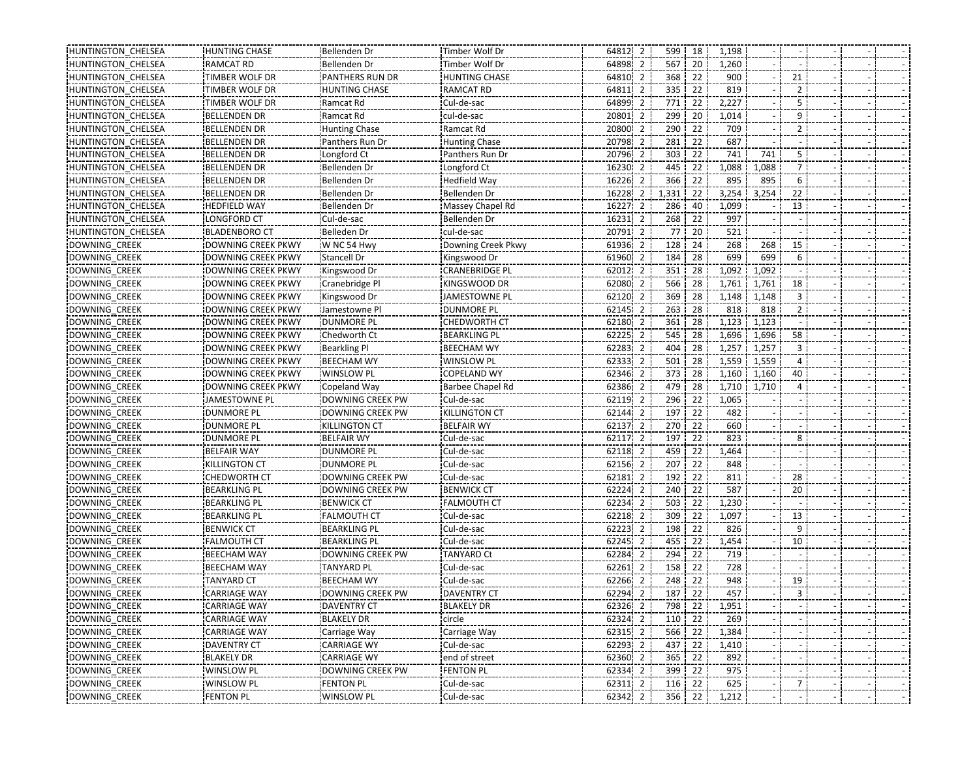| HUNTINGTON CHELSEA   | HUNTING CHASE             | Bellenden Dr            | Timber Wolf Dr        | 64812 2 | 599 18           |                 | 1,198 |       |                |  |  |
|----------------------|---------------------------|-------------------------|-----------------------|---------|------------------|-----------------|-------|-------|----------------|--|--|
| HUNTINGTON CHELSEA   | <b>RAMCAT RD</b>          | Bellenden Dr            | Timber Wolf Dr        | 64898 2 | 567              | 20              | 1,260 |       |                |  |  |
| HUNTINGTON CHELSEA   | TIMBER WOLF DR            | <b>PANTHERS RUN DR</b>  | <b>HUNTING CHASE</b>  | 64810 2 | 368 22           |                 | 900   |       | 21             |  |  |
| HUNTINGTON CHELSEA   | TIMBER WOLF DR            | <b>HUNTING CHASE</b>    | <b>RAMCAT RD</b>      | 64811 2 | 335              | $\frac{22}{1}$  | 819   |       | 2              |  |  |
| HUNTINGTON_CHELSEA   | TIMBER WOLF DR            | Ramcat Rd               | Cul-de-sac            | 64899 2 | 771              | 22              | 2,227 |       | 5              |  |  |
| HUNTINGTON CHELSEA   | <b>BELLENDEN DR</b>       | Ramcat Rd               | cul-de-sac            | 20801 2 | 299              | 20              | 1,014 |       | 9              |  |  |
| HUNTINGTON CHELSEA   | <b>BELLENDEN DR</b>       | <b>Hunting Chase</b>    | Ramcat Rd             | 20800 2 | 290 22           |                 | 709   |       | $\overline{2}$ |  |  |
| HUNTINGTON_CHELSEA   | <b>BELLENDEN DR</b>       | Panthers Run Dr         | <b>Hunting Chase</b>  | 20798 2 | 281              | $\frac{1}{22}$  | 687   |       |                |  |  |
| HUNTINGTON_CHELSEA   | <b>BELLENDEN DR</b>       | Longford Ct             | Panthers Run Dr       | 20796 2 | 303              | 22              | 741   | 741   |                |  |  |
| HUNTINGTON CHELSEA   | <b>BELLENDEN DR</b>       | Bellenden Dr            | Longford Ct           | 16230 2 | 445              | 22              | 1,088 | 1,088 |                |  |  |
| HUNTINGTON CHELSEA   | <b>BELLENDEN DR</b>       | Bellenden Dr            | <b>Hedfield Way</b>   | 16226 2 | 366              | 22              | 895   | 895   | 6              |  |  |
| HUNTINGTON_CHELSEA   | <b>BELLENDEN DR</b>       | Bellenden Dr            | Bellenden Dr          | 16228 2 | 1,331            | 22              | 3,254 | 3,254 | 22             |  |  |
| HUNTINGTON_CHELSEA   | <b>HEDFIELD WAY</b>       | Bellenden Dr            | Massey Chapel Rd      | 16227 2 | 286              | 40              | 1,099 |       | 13             |  |  |
| HUNTINGTON CHELSEA   | LONGFORD CT               | Cul-de-sac              | Bellenden Dr          | 16231 2 | 268 22           |                 | 997   |       |                |  |  |
| HUNTINGTON CHELSEA   | <b>BLADENBORO CT</b>      | Belleden Dr             | cul-de-sac            | 20791 2 | 77 20            |                 | 521   |       |                |  |  |
| DOWNING_CREEK        | DOWNING CREEK PKWY        | W NC 54 Hwy             | Downing Creek Pkwy    | 61936 2 | 128              | 24              | 268   | 268   | 15             |  |  |
| <b>DOWNING CREEK</b> | DOWNING CREEK PKWY        | <b>Stancell Dr</b>      | Kingswood Dr          | 61960 2 | 184              | 28              | 699   | 699   |                |  |  |
| DOWNING CREEK        | DOWNING CREEK PKWY        | Kingswood Dr            | <b>CRANEBRIDGE PL</b> | 62012 2 | 351              | 28              | 1,092 | 1,092 |                |  |  |
| DOWNING CREEK        | DOWNING CREEK PKWY        | Cranebridge Pl          | KINGSWOOD DR          | 62080 2 | 566              | 28              | 1,761 | 1,761 | 18             |  |  |
| DOWNING_CREEK        | DOWNING CREEK PKWY        | Kingswood Dr            | JAMESTOWNE PL         | 62120 2 | 369              | 28              | 1,148 | 1,148 |                |  |  |
| DOWNING CREEK        | <b>DOWNING CREEK PKWY</b> | Jamestowne Pl           | <b>DUNMORE PL</b>     | 62145 2 | 263              | 28              | 818   | 818   |                |  |  |
| DOWNING CREEK        | DOWNING CREEK PKWY        | <b>DUNMORE PL</b>       | <b>CHEDWORTH CT</b>   | 62180 2 | 361              | 28              | 1,123 | 1,123 |                |  |  |
| DOWNING_CREEK        | DOWNING CREEK PKWY        | Chedworth Ct            | <b>BEARKLING PL</b>   | 62225 2 | 545              | 28              | 1,696 | 1,696 | 58             |  |  |
| DOWNING CREEK        | DOWNING CREEK PKWY        | <b>Bearkling Pl</b>     | <b>BEECHAM WY</b>     | 62283 2 | 404              | 28              | 1,257 | 1,257 | 3              |  |  |
| <b>DOWNING CREEK</b> | DOWNING CREEK PKWY        | <b>BEECHAM WY</b>       | <b>WINSLOW PL</b>     | 62333 2 | 501              | 28              | 1,559 | 1,559 |                |  |  |
| DOWNING CREEK        | DOWNING CREEK PKWY        | <b>WINSLOW PL</b>       | <b>COPELAND WY</b>    | 62346 2 | 373              | 28              | 1,160 | 1,160 | 40             |  |  |
| DOWNING CREEK        | DOWNING CREEK PKWY        | Copeland Way            | Barbee Chapel Rd      | 62386 2 | 479              | 28              | 1,710 | 1,710 |                |  |  |
| DOWNING CREEK        | JAMESTOWNE PL             | DOWNING CREEK PW        | Cul-de-sac            | 62119 2 | 296 22           |                 | 1,065 |       |                |  |  |
| DOWNING CREEK        | <b>DUNMORE PL</b>         | <b>DOWNING CREEK PW</b> | <b>KILLINGTON CT</b>  | 62144 2 | 197              | $\overline{22}$ | 482   |       |                |  |  |
| <b>DOWNING CREEK</b> | <b>DUNMORE PL</b>         | <b>KILLINGTON CT</b>    | <b>BELFAIR WY</b>     | 62137 2 | 270 22           |                 | 660   |       |                |  |  |
| DOWNING_CREEK        | <b>DUNMORE PL</b>         | <b>BELFAIR WY</b>       | Cul-de-sac            | 62117 2 | 197 22           |                 | 823   |       | 8              |  |  |
| DOWNING_CREEK        | <b>BELFAIR WAY</b>        | <b>DUNMORE PL</b>       | Cul-de-sac            | 62118 2 | 459 22           |                 | 1,464 |       |                |  |  |
| DOWNING CREEK        | <b>KILLINGTON CT</b>      | <b>DUNMORE PL</b>       | Cul-de-sac            | 62156 2 | 207              | 22              | 848   |       |                |  |  |
| DOWNING CREEK        | CHEDWORTH CT              | DOWNING CREEK PW        | Cul-de-sac            | 62181 2 | 192              | $\overline{22}$ | 811   |       | 28             |  |  |
| DOWNING_CREEK        | <b>BEARKLING PL</b>       | DOWNING CREEK PW        | <b>BENWICK CT</b>     | 62224 2 | 240              | 22              | 587   |       | 20             |  |  |
| DOWNING CREEK        | <b>BEARKLING PL</b>       | <b>BENWICK CT</b>       | <b>FALMOUTH CT</b>    | 62234 2 | 503              | 22              | 1,230 |       |                |  |  |
| <b>DOWNING CREEK</b> | <b>BEARKLING PL</b>       | <b>FALMOUTH CT</b>      | Cul-de-sac            | 62218 2 | 309 <sub>1</sub> | 22              | 1,097 |       | 13             |  |  |
| DOWNING CREEK        | <b>BENWICK CT</b>         | <b>BEARKLING PL</b>     | Cul-de-sac            | 62223 2 | 198 22           |                 | 826   |       | 9              |  |  |
| DOWNING CREEK        | <b>FALMOUTH CT</b>        | <b>BEARKLING PL</b>     | Cul-de-sac            | 62245 2 | 455 22           |                 | 1,454 |       | 10             |  |  |
| DOWNING_CREEK        | <b>BEECHAM WAY</b>        | DOWNING CREEK PW        | <b>TANYARD Ct</b>     | 62284 2 | 294              | 22              | 719   |       |                |  |  |
| <b>DOWNING CREEK</b> | <b>BEECHAM WAY</b>        | <b>TANYARD PL</b>       | Cul-de-sac            | 62261 2 | 158              | 22              | 728   |       |                |  |  |
| DOWNING CREEK        | <b>TANYARD CT</b>         | <b>BEECHAM WY</b>       | Cul-de-sac            | 62266 2 | 248 22           |                 | 948   |       | 19             |  |  |
| <b>DOWNING CREEK</b> | <b>CARRIAGE WAY</b>       | DOWNING CREEK PW        | <b>DAVENTRY CT</b>    | 62294 2 | 187 22           |                 | 457   |       | 3              |  |  |
| DOWNING_CREEK        | <b>CARRIAGE WAY</b>       | <b>DAVENTRY CT</b>      | <b>BLAKELY DR</b>     | 62326 2 | 798 22           |                 | 1,951 |       |                |  |  |
| DOWNING_CREEK        | <b>CARRIAGE WAY</b>       | <b>BLAKELY DR</b>       | circle                | 62324 2 | 110              | 22              | 269   |       |                |  |  |
| DOWNING CREEK        | <b>CARRIAGE WAY</b>       | Carriage Way            | Carriage Way          | 62315 2 | 566 22           |                 | 1,384 |       |                |  |  |
| DOWNING CREEK        | <b>DAVENTRY CT</b>        | <b>CARRIAGE WY</b>      | Cul-de-sac            | 62293 2 | 437 22           |                 | 1,410 |       |                |  |  |
| DOWNING CREEK        | <b>BLAKELY DR</b>         | <b>CARRIAGE WY</b>      | end of street         | 62360 2 | 365              | 22              | 892   |       |                |  |  |
| DOWNING CREEK        | <b>WINSLOW PL</b>         | DOWNING CREEK PW        | <b>FENTON PL</b>      | 62334 2 | 399 22           |                 | 975   |       |                |  |  |
| DOWNING_CREEK        | WINSLOW PL                | <b>FENTON PL</b>        | Cul-de-sac            | 62311 2 | 116 22           |                 | 625   |       | 7              |  |  |
| DOWNING CREEK        | <b>FENTON PL</b>          | <b>WINSLOW PL</b>       | Cul-de-sac            | 62342 2 | 356 22           |                 | 1,212 |       |                |  |  |
|                      |                           |                         |                       |         |                  |                 |       |       |                |  |  |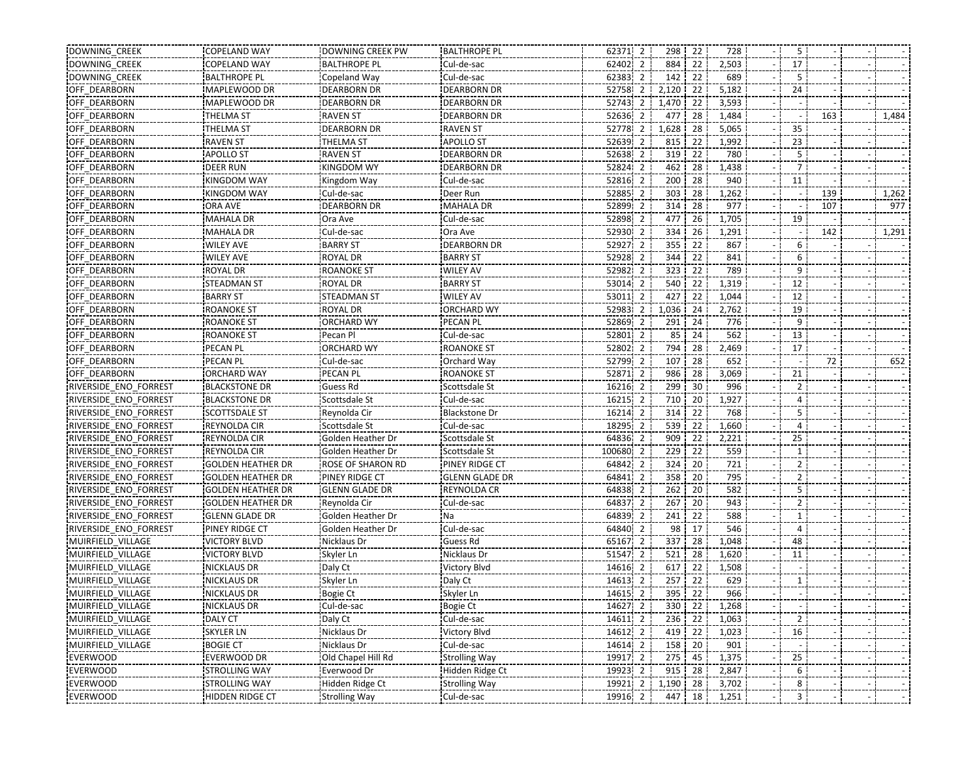| DOWNING CREEK                | COPELAND WAY             | DOWNING CREEK PW      | <b>BALTHROPE PL</b>   | 62371 2                 |          | 298 22         | 728   | 5        |     |       |
|------------------------------|--------------------------|-----------------------|-----------------------|-------------------------|----------|----------------|-------|----------|-----|-------|
| DOWNING CREEK                | <b>COPELAND WAY</b>      | <b>BALTHROPE PL</b>   | Cul-de-sac            | 62402 2                 | 884      | 22             | 2,503 | 17       |     |       |
| <b>DOWNING CREEK</b>         | <b>BALTHROPE PL</b>      | Copeland Way          | Cul-de-sac            | 62383 2                 | 142      | $-22$          | 689   | 5        |     |       |
| OFF DEARBORN                 | MAPLEWOOD DR             | <b>DEARBORN DR</b>    | <b>DEARBORN DR</b>    | 52758<br>$\overline{2}$ | 2,120    | $\frac{1}{22}$ | 5,182 | 24       |     |       |
| OFF DEARBORN                 | MAPLEWOOD DR             | <b>DEARBORN DR</b>    | <b>DEARBORN DR</b>    | 52743 2                 | 1,470    | 22             | 3,593 |          |     |       |
| OFF DEARBORN                 | THELMA ST                | <b>RAVEN ST</b>       | <b>DEARBORN DR</b>    | 52636<br>2              | 477      | 28             | 1,484 |          | 163 | 1,484 |
| <b>OFF DEARBORN</b>          | THELMA ST                | <b>DEARBORN DR</b>    | <b>RAVEN ST</b>       | 52778 2                 | 1,628    | 28             | 5,065 | 35       |     |       |
| <b>OFF DEARBORN</b>          | <b>RAVEN ST</b>          | THELMA ST             | <b>APOLLO ST</b>      | 52639 2                 | 815 22   |                | 1,992 | 23       |     |       |
| OFF DEARBORN                 | <b>APOLLO ST</b>         | <b>RAVEN ST</b>       | <b>DEARBORN DR</b>    | 52638 2                 | 319      | $\frac{1}{22}$ | 780   |          |     |       |
| OFF DEARBORN                 | <b>DEER RUN</b>          | <b>KINGDOM WY</b>     | <b>DEARBORN DR</b>    | 52824 2                 | 462      | 28             | 1,438 |          |     |       |
| OFF DEARBORN                 | <b>KINGDOM WAY</b>       | Kingdom Way           | Cul-de-sac            | 52816 2                 | 200      | 28             | 940   | 11       |     |       |
| OFF DEARBORN                 | <b>KINGDOM WAY</b>       | Cul-de-sac            | Deer Run              | 52885 2                 | 303      | 28             | 1,262 |          | 139 | 1,262 |
| <b>OFF DEARBORN</b>          | <b>ORA AVE</b>           | <b>DEARBORN DR</b>    | <b>MAHALA DR</b>      | 52899 2                 | 314      | 128            | 977   |          | 107 | 977   |
| OFF_DEARBORN                 | <b>MAHALA DR</b>         | Ora Ave               | Cul-de-sac            | 52898 2                 | 477      | 26             | 1,705 | 19       |     |       |
| OFF DEARBORN                 | <b>MAHALA DR</b>         | Cul-de-sac            | Ora Ave               | 52930 2                 | 334      | 26             | 1,291 |          | 142 | 1,291 |
| <b>OFF DEARBORN</b>          | WILEY AVE                | <b>BARRY ST</b>       | <b>DEARBORN DR</b>    | 52927 2                 | 355 22   |                | 867   | 6        |     |       |
| OFF DEARBORN                 | <b>WILEY AVE</b>         | <b>ROYAL DR</b>       | <b>BARRY ST</b>       | 52928 2                 | 344      | $\frac{1}{22}$ | 841   | 6        |     |       |
| <b>OFF DEARBORN</b>          | ROYAL DR                 | <b>ROANOKE ST</b>     | <b>WILEY AV</b>       | 52982 2                 | 323      | 122            | 789   | 9        |     |       |
| OFF DEARBORN                 | <b>STEADMAN ST</b>       | <b>ROYAL DR</b>       | <b>BARRY ST</b>       | 53014 2                 | 540 22   |                | 1,319 | 12       |     |       |
| OFF DEARBORN                 | <b>BARRY ST</b>          | STEADMAN ST           | <b>WILEY AV</b>       | 53011 2                 | 427 22   |                | 1,044 | 12       |     |       |
| OFF DEARBORN                 | <b>ROANOKE ST</b>        | <b>ROYAL DR</b>       | <b>ORCHARD WY</b>     | 52983 2                 | 1,036 24 |                | 2,762 | 19       |     |       |
| OFF DEARBORN                 | <b>ROANOKE ST</b>        | <b>ORCHARD WY</b>     | PECAN PL              | 52869 2                 | 291      | 24             | 776   | 9        |     |       |
| OFF DEARBORN                 | <b>ROANOKE ST</b>        | Pecan Pl              | Cul-de-sac            | 52801 2                 |          | 85 24          | 562   | 13       |     |       |
| <b>OFF DEARBORN</b>          | PECAN PL                 | <b>ORCHARD WY</b>     | <b>ROANOKE ST</b>     | 52802 2                 | 794 28   |                | 2,469 | 17       |     |       |
| OFF DEARBORN                 | PECAN PL                 | Cul-de-sac            | Orchard Way           | 52799 2                 | 107      | 28             | 652   |          | 72  | 652   |
| OFF DEARBORN                 | <b>ORCHARD WAY</b>       | PECAN PL              | <b>ROANOKE ST</b>     | 52871 2                 | 986 28   |                | 3,069 | 21       |     |       |
| RIVERSIDE ENO FORREST        | <b>BLACKSTONE DR</b>     | Guess Rd              | Scottsdale St         | 16216 2                 | 299      | 30             | 996   | 2        |     |       |
| RIVERSIDE ENO FORREST        | <b>BLACKSTONE DR</b>     | Scottsdale St         | Cul-de-sac            | 16215 2                 | 710      | 20             | 1,927 |          |     |       |
| RIVERSIDE ENO FORREST        | <b>SCOTTSDALE ST</b>     | Reynolda Cir          | <b>Blackstone Dr</b>  | 16214<br>-2             | 314      | 22             | 768   | 5        |     |       |
| RIVERSIDE ENO FORREST        | <b>REYNOLDA CIR</b>      | Scottsdale St         | Cul-de-sac            | 18295 2                 | 539      | $\frac{1}{22}$ | 1,660 | Δ        |     |       |
| RIVERSIDE ENO FORREST        | REYNOLDA CIR             | Golden Heather Dr     | Scottsdale St         | 64836 2                 | 909      | $\frac{22}{2}$ | 2,221 | 25       |     |       |
| RIVERSIDE ENO FORREST        | REYNOLDA CIR             | Golden Heather Dr     | Scottsdale St         | 100680 2                | 229      | $\frac{1}{22}$ | 559   |          |     |       |
| RIVERSIDE ENO FORREST        | <b>GOLDEN HEATHER DR</b> | ROSE OF SHARON RD     | PINEY RIDGE CT        | 64842 2                 | 324      | 20             | 721   |          |     |       |
| RIVERSIDE ENO FORREST        | <b>GOLDEN HEATHER DR</b> | PINEY RIDGE CT        | <b>GLENN GLADE DR</b> | 64841 2                 | 358 20   |                | 795   |          |     |       |
| RIVERSIDE ENO FORREST        | <b>GOLDEN HEATHER DR</b> | <b>GLENN GLADE DR</b> | REYNOLDA CR           | 64838 2                 | 262 20   |                | 582   |          |     |       |
| RIVERSIDE ENO FORREST        | <b>GOLDEN HEATHER DR</b> | Reynolda Cir          | Cul-de-sac            | 64837 2                 | 267      | 20             | 943   | 2        |     |       |
| <b>RIVERSIDE ENO FORREST</b> | <b>GLENN GLADE DR</b>    | Golden Heather Dr     | :Na                   | 64839 2                 | 241      | 22             | 588   | 1        |     |       |
| RIVERSIDE ENO FORREST        | PINEY RIDGE CT           | Golden Heather Dr     | Cul-de-sac            | 64840 2                 |          | 98 17          | 546   | $\Delta$ |     |       |
| MUIRFIELD_VILLAGE            | <b>VICTORY BLVD</b>      | Nicklaus Dr           | Guess Rd              | 65167 2                 |          | 337 28         | 1,048 | 48       |     |       |
| MUIRFIELD VILLAGE            | <b>VICTORY BLVD</b>      | Skyler Ln             | Nicklaus Dr           | 51547 2                 | 521      | 28             | 1,620 | 11       |     |       |
| MUIRFIELD VILLAGE            | <b>NICKLAUS DR</b>       | Daly Ct               | Victory Blvd          | 14616 2                 | 617      | $\frac{1}{22}$ | 1,508 |          |     |       |
| MUIRFIELD VILLAGE            | <b>NICKLAUS DR</b>       | Skyler Ln             | Daly Ct               | 14613 2                 | 257 22   |                | 629   |          |     |       |
| MUIRFIELD VILLAGE            | NICKLAUS DR              | <b>Bogie Ct</b>       | Skyler Ln             | 14615 2                 |          | 395 22         | 966   |          |     |       |
| MUIRFIELD VILLAGE            | <b>NICKLAUS DR</b>       | Cul-de-sac            | <b>Bogie Ct</b>       | 14627 2                 | 330 22   |                | 1,268 |          |     |       |
| MUIRFIELD VILLAGE            | DALY CT                  | Daly Ct               | Cul-de-sac            | 14611 2                 | 236 22   |                | 1,063 |          |     |       |
| MUIRFIELD_VILLAGE            | <b>SKYLER LN</b>         | Nicklaus Dr           | <b>Victory Blvd</b>   | 14612 2                 | $419 22$ |                | 1,023 | 16       |     |       |
| MUIRFIELD VILLAGE            | <b>BOGIE CT</b>          | Nicklaus Dr           | Cul-de-sac            | 14614 2                 | 158 20   |                | 901   |          |     |       |
| <b>EVERWOOD</b>              | <b>EVERWOOD DR</b>       | Old Chapel Hill Rd    | <b>Strolling Way</b>  | 19917 2                 | 275      | -45            | 1,375 | 25       |     |       |
| <b>EVERWOOD</b>              | <b>STROLLING WAY</b>     | Everwood Dr           | Hidden Ridge Ct       | 19923 2                 | 915 28   |                | 2,847 | 6        |     |       |
| EVERWOOD                     | <b>STROLLING WAY</b>     | Hidden Ridge Ct       | <b>Strolling Way</b>  | 19921 2                 | 1,190 28 |                | 3,702 | 8        |     |       |
| <b>EVERWOOD</b>              | HIDDEN RIDGE CT          | <b>Strolling Way</b>  | Cul-de-sac            | 19916 2                 |          | 447 18         | 1,251 | 3        |     |       |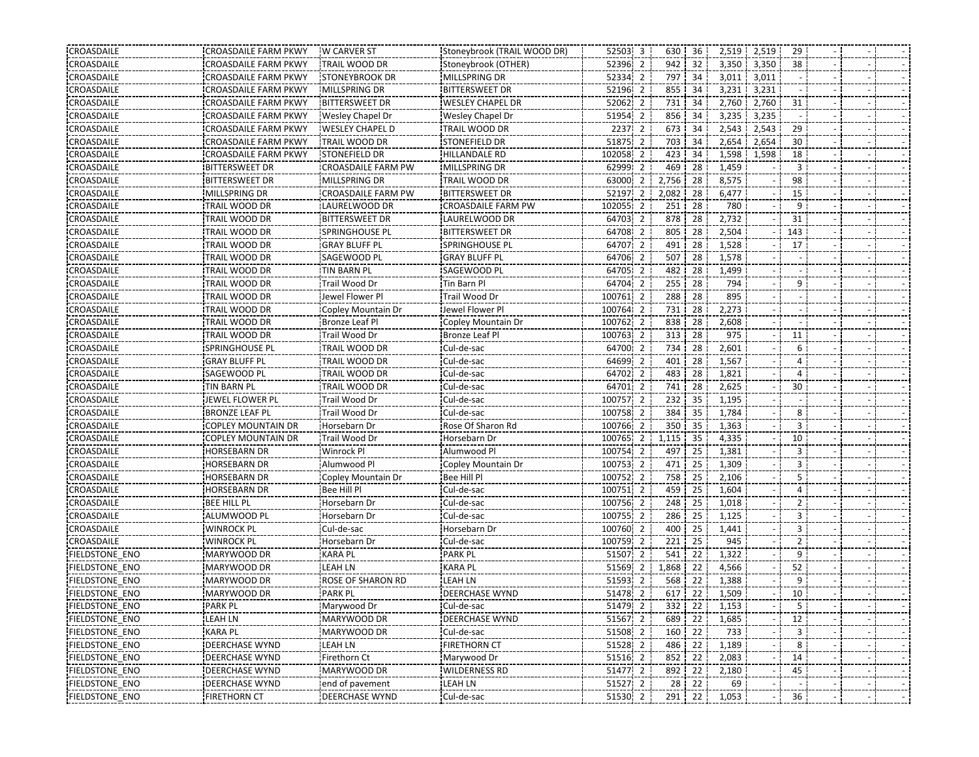| CROASDAILE            | <b>CROASDAILE FARM PKWY</b> | <b>W CARVER ST</b>        | Stoneybrook (TRAIL WOOD DR) | 52503 3                  | 630 36 |       | 2,519 2,519 |       | 29  |  |  |
|-----------------------|-----------------------------|---------------------------|-----------------------------|--------------------------|--------|-------|-------------|-------|-----|--|--|
| CROASDAILE            | <b>CROASDAILE FARM PKWY</b> | TRAIL WOOD DR             | Stoneybrook (OTHER)         | 52396 2                  | 942    | 32    | 3,350       | 3,350 | 38  |  |  |
| CROASDAILE            | <b>CROASDAILE FARM PKWY</b> | <b>STONEYBROOK DR</b>     | MILLSPRING DR               | 52334 2                  | 797    | 34    | 3,011       | 3,011 |     |  |  |
| CROASDAILE            | <b>CROASDAILE FARM PKWY</b> | MILLSPRING DR             | <b>BITTERSWEET DR</b>       | 52196 2                  | 855    | 34    | 3,231       | 3,231 |     |  |  |
| CROASDAILE            | <b>CROASDAILE FARM PKWY</b> | <b>BITTERSWEET DR</b>     | <b>WESLEY CHAPEL DR</b>     | 52062 2                  | 731    | 34    | 2,760       | 2,760 | 31  |  |  |
| CROASDAILE            | <b>CROASDAILE FARM PKWY</b> | <b>Wesley Chapel Dr</b>   | Wesley Chapel Dr            | 51954 2                  | 856    | 34    | 3,235       | 3,235 |     |  |  |
| CROASDAILE            | <b>CROASDAILE FARM PKWY</b> | <b>WESLEY CHAPEL D</b>    | TRAIL WOOD DR               | 2237 2                   | 673    | 34    | 2,543       | 2,543 | 29  |  |  |
| CROASDAILE            | <b>CROASDAILE FARM PKWY</b> | TRAIL WOOD DR             | STONEFIELD DR               | 51875 2                  | 703    | 34    | 2,654       | 2,654 | 30  |  |  |
| CROASDAILE            | <b>CROASDAILE FARM PKWY</b> | <b>STONEFIELD DR</b>      | HILLANDALE RD               | 102058 2                 | 423    | 34    | 1,598       | 1,598 | 18  |  |  |
| CROASDAILE            | <b>BITTERSWEET DR</b>       | <b>CROASDAILE FARM PW</b> | MILLSPRING DR               | 62999 2                  | 469    | 28    | 1,459       |       | 3   |  |  |
| CROASDAILE            | <b>BITTERSWEET DR</b>       | MILLSPRING DR             | TRAIL WOOD DR               | 63000 2                  | 2,756  | 28    | 8,575       |       | 98  |  |  |
| CROASDAILE            | MILLSPRING DR               | <b>CROASDAILE FARM PW</b> | <b>BITTERSWEET DR</b>       | 52197 2                  | 2,082  | 28    | 6,477       |       | 15  |  |  |
| <b>CROASDAILE</b>     | TRAIL WOOD DR               | LAURELWOOD DR             | <b>CROASDAILE FARM PW</b>   | 102055 2                 | 251    | 28    | 780         |       | 9   |  |  |
| CROASDAILE            | TRAIL WOOD DR               | <b>BITTERSWEET DR</b>     | LAURELWOOD DR               | 64703 2                  | 878    | 28    | 2,732       |       | 31  |  |  |
| CROASDAILE            | TRAIL WOOD DR               | SPRINGHOUSE PL            | <b>BITTERSWEET DR</b>       | 64708 2                  | 805    | 28    | 2,504       |       | 143 |  |  |
| CROASDAILE            | TRAIL WOOD DR               | <b>GRAY BLUFF PL</b>      | SPRINGHOUSE PL              | 64707 2                  | 491    | 28    | 1,528       |       | 17  |  |  |
| CROASDAILE            | TRAIL WOOD DR               | SAGEWOOD PL               | <b>GRAY BLUFF PL</b>        | 64706 2                  | 507    | 28    | 1,578       |       |     |  |  |
| CROASDAILE            | TRAIL WOOD DR               | TIN BARN PL               | SAGEWOOD PL                 | 64705 2                  | 482    | 28    | 1,499       |       |     |  |  |
| CROASDAILE            | TRAIL WOOD DR               | Trail Wood Dr             | Tin Barn Pl                 | 64704 2                  | 255    | 28    | 794         |       | 9   |  |  |
| CROASDAILE            | TRAIL WOOD DR               | Jewel Flower Pl           | Trail Wood Dr               | 100761 2                 | 288    | 28    | 895         |       |     |  |  |
| CROASDAILE            | TRAIL WOOD DR               | Copley Mountain Dr        | Jewel Flower Pl             | 100764<br>$\overline{2}$ | 731    | 28    | 2,273       |       |     |  |  |
| CROASDAILE            | TRAIL WOOD DR               | Bronze Leaf Pl            | Copley Mountain Dr          | 100762 2                 | 838    | 28    | 2,608       |       |     |  |  |
| CROASDAILE            | TRAIL WOOD DR               | Trail Wood Dr             | Bronze Leaf Pl              | 100763 2                 | 313    | 28    | 975         |       | 11  |  |  |
| CROASDAILE            | <b>SPRINGHOUSE PL</b>       | TRAIL WOOD DR             | Cul-de-sac                  | 64700 2                  | 734    | 28    | 2,601       |       | 6   |  |  |
| CROASDAILE            | <b>GRAY BLUFF PL</b>        | TRAIL WOOD DR             | Cul-de-sac                  | 64699 2                  | 401    | 28    | 1,567       |       | 4   |  |  |
| <b>CROASDAILE</b>     | SAGEWOOD PL                 | TRAIL WOOD DR             | Cul-de-sac                  | 64702 2                  | 483    | 28    | 1,821       |       | Δ   |  |  |
| CROASDAILE            | <b>TIN BARN PL</b>          | TRAIL WOOD DR             | Cul-de-sac                  | 64701 2                  | 741    | 28    | 2,625       |       | 30  |  |  |
| CROASDAILE            | JEWEL FLOWER PL             | Trail Wood Dr             | Cul-de-sac                  | 100757 2                 | 232    | 35    | 1,195       |       |     |  |  |
| CROASDAILE            | <b>BRONZE LEAF PL</b>       | Trail Wood Dr             | Cul-de-sac                  | 100758<br>- 2            | 384    | 35    | 1,784       |       | 8   |  |  |
| CROASDAILE            | <b>COPLEY MOUNTAIN DR</b>   | Horsebarn Dr              | Rose Of Sharon Rd           | 100766 2                 | 350 35 |       | 1,363       |       | 3   |  |  |
| CROASDAILE            | <b>COPLEY MOUNTAIN DR</b>   | Trail Wood Dr             | Horsebarn Dr                | 100765 2                 | 1,115  | 35    | 4,335       |       | 10  |  |  |
| CROASDAILE            | <b>HORSEBARN DR</b>         | Winrock Pl                | Alumwood Pl                 | 100754 2                 | 497    | 25    | 1,381       |       | 3   |  |  |
| CROASDAILE            | <b>HORSEBARN DR</b>         | Alumwood Pl               | Copley Mountain Dr          | 100753 2                 | 471    | 25    | 1,309       |       | 3   |  |  |
| CROASDAILE            | <b>HORSEBARN DR</b>         | Copley Mountain Dr        | Bee Hill Pl                 | 100752 2                 | 758    | 25    | 2,106       |       | 5   |  |  |
| CROASDAILE            | HORSEBARN DR                | Bee Hill Pl               | Cul-de-sac                  | 100751 2                 | 459    | 25    | 1,604       |       |     |  |  |
| CROASDAILE            | <b>BEE HILL PL</b>          | Horsebarn Dr              | Cul-de-sac                  | 100756 2                 | 248    | 25    | 1,018       |       |     |  |  |
| CROASDAILE            | ALUMWOOD PL                 | Horsebarn Dr              | Cul-de-sac                  | 100755 2                 | 286    | 25    | 1,125       |       | 3   |  |  |
| CROASDAILE            | <b>WINROCK PL</b>           | Cul-de-sac                | Horsebarn Dr                | 100760 2                 | 400 25 |       | 1,441       |       | 3   |  |  |
| CROASDAILE            | <b>WINROCK PL</b>           | Horsebarn Dr              | Cul-de-sac                  | 100759 2                 | 221    | 25    | 945         |       | 2   |  |  |
| FIELDSTONE ENO        | MARYWOOD DR                 | <b>KARA PL</b>            | PARK PL                     | 51507 2                  | 541    | 22    | 1,322       |       | q   |  |  |
| FIELDSTONE ENO        | MARYWOOD DR                 | <b>LEAH LN</b>            | <b>KARA PL</b>              | 51569 2                  | 1,868  | 22    | 4,566       |       | 52  |  |  |
| <b>FIELDSTONE ENO</b> | MARYWOOD DR                 | ROSE OF SHARON RD         | <b>LEAH LN</b>              | 51593 2                  | 568    | 22    | 1,388       |       | 9   |  |  |
| <b>FIELDSTONE ENO</b> | MARYWOOD DR                 | <b>PARK PL</b>            | <b>DEERCHASE WYND</b>       | 51478 2                  | 617    | 22 i  | 1,509       |       | 10  |  |  |
| <b>FIELDSTONE ENO</b> | <b>PARK PL</b>              | Marywood Dr               | Cul-de-sac                  | 51479 2                  | 332 22 |       | 1,153       |       | 5   |  |  |
| <b>FIELDSTONE ENO</b> | <b>LEAH LN</b>              | MARYWOOD DR               | <b>DEERCHASE WYND</b>       | 51567 2                  | 689    | 22    | 1,685       |       | 12  |  |  |
| <b>FIELDSTONE ENO</b> | <b>KARA PL</b>              | MARYWOOD DR               | Cul-de-sac                  | 51508 2                  | 160 22 |       | 733         |       | 3   |  |  |
| <b>FIELDSTONE ENO</b> | <b>DEERCHASE WYND</b>       | LEAH LN                   | <b>FIRETHORN CT</b>         | 51528 2                  | 486 22 |       | 1,189       |       | 8   |  |  |
| FIELDSTONE_ENO        | <b>DEERCHASE WYND</b>       | Firethorn Ct              | Marywood Dr                 | 51516 2                  | 852    | 22    | 2,083       |       | 14  |  |  |
| <b>FIELDSTONE ENO</b> | <b>DEERCHASE WYND</b>       | MARYWOOD DR               | <b>WILDERNESS RD</b>        | 51477 2                  | 892    | 22    | 2,180       |       | 45  |  |  |
| <b>FIELDSTONE ENO</b> | DEERCHASE WYND              | end of pavement           | LEAH LN                     | 51527 2                  |        | 28 22 | 69          |       |     |  |  |
| FIELDSTONE_ENO        | <b>FIRETHORN CT</b>         | DEERCHASE WYND            | Cul-de-sac                  | 51530 2                  | 291 22 |       | 1,053       |       | 36  |  |  |
|                       |                             |                           |                             |                          |        |       |             |       |     |  |  |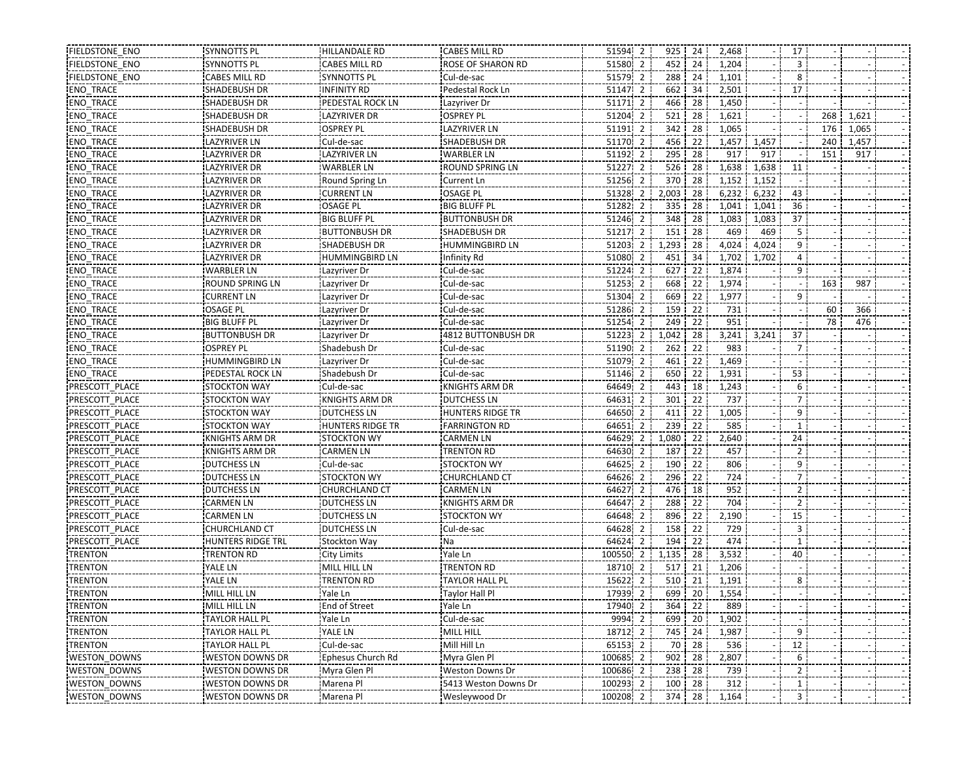| <b>FIELDSTONE ENO</b> | SYNNOTTS PL            | <b>HILLANDALE RD</b>    | <b>CABES MILL RD</b>     | 51594 2    | 925 24   |                | 2,468 |       | 17             |     |       |  |
|-----------------------|------------------------|-------------------------|--------------------------|------------|----------|----------------|-------|-------|----------------|-----|-------|--|
| FIELDSTONE_ENO        | <b>SYNNOTTS PL</b>     | <b>CABES MILL RD</b>    | <b>ROSE OF SHARON RD</b> | 51580 2    | 452      | 24             | 1,204 |       |                |     |       |  |
| <b>FIELDSTONE ENO</b> | CABES MILL RD          | SYNNOTTS PL             | Cul-de-sac               | 51579 2    | 288      | 24             | 1,101 |       | 8              |     |       |  |
| ENO_TRACE             | SHADEBUSH DR           | <b>INFINITY RD</b>      | Pedestal Rock Ln         | 51147 2    | 662      | 34             | 2,501 |       | 17             |     |       |  |
| <b>ENO TRACE</b>      | SHADEBUSH DR           | PEDESTAL ROCK LN        | Lazyriver Dr             | 51171 2    | 466      | 28             | 1,450 |       |                |     |       |  |
| <b>ENO TRACE</b>      | SHADEBUSH DR           | <b>LAZYRIVER DR</b>     | <b>OSPREY PL</b>         | 51204 2    | 521      | 28             | 1,621 |       |                | 268 | 1,621 |  |
| <b>ENO TRACE</b>      | <b>SHADEBUSH DR</b>    | <b>OSPREY PL</b>        | <b>LAZYRIVER LN</b>      | 51191 2    | 342      | 28             | 1,065 |       |                | 176 | 1,065 |  |
| ENO_TRACE             | <b>LAZYRIVER LN</b>    | Cul-de-sac              | SHADEBUSH DR             | 51170 2    | 456 22   |                | 1,457 | 1,457 |                | 240 | 1,457 |  |
| <b>ENO TRACE</b>      | LAZYRIVER DR           | <b>LAZYRIVER LN</b>     | <b>WARBLER LN</b>        | 51192 2    | 295      | 28             | 917   | 917   |                | 151 | 917   |  |
| <b>ENO TRACE</b>      | <b>LAZYRIVER DR</b>    | <b>WARBLER LN</b>       | ROUND SPRING LN          | 51227 2    | 526      | 28             | 1,638 | 1,638 | $\frac{11}{1}$ |     |       |  |
| <b>ENO TRACE</b>      | <b>LAZYRIVER DR</b>    | Round Spring Ln         | Current Ln               | 51256 2    | 370      | 28             | 1,152 | 1,152 |                |     |       |  |
| <b>ENO TRACE</b>      | LAZYRIVER DR           | <b>CURRENT LN</b>       | <b>OSAGE PL</b>          | 51328 2    | 2,003    | 28             | 6,232 | 6,232 | 43             |     |       |  |
| <b>ENO TRACE</b>      | LAZYRIVER DR           | <b>OSAGE PL</b>         | <b>BIG BLUFF PL</b>      | 51282 2    | 335      | 28             | 1,041 | 1,041 | 36             |     |       |  |
| <b>ENO TRACE</b>      | LAZYRIVER DR           | <b>BIG BLUFF PL</b>     | <b>BUTTONBUSH DR</b>     | 51246 2    | 348      | 28             | 1,083 | 1,083 | 37             |     |       |  |
| <b>ENO TRACE</b>      | LAZYRIVER DR           | <b>BUTTONBUSH DR</b>    | <b>SHADEBUSH DR</b>      | 51217 2    | 151      | 28             | 469   | 469   | 5              |     |       |  |
| <b>ENO TRACE</b>      | LAZYRIVER DR           | SHADEBUSH DR            | HUMMINGBIRD LN           | 51203 2    | 1,293    | 28             | 4,024 | 4,024 |                |     |       |  |
| <b>ENO TRACE</b>      | LAZYRIVER DR           | <b>HUMMINGBIRD LN</b>   | Infinity Rd              | 51080 2    | 451      | 34             | 1,702 | 1,702 | 4              |     |       |  |
| <b>ENO TRACE</b>      | <b>WARBLER LN</b>      | Lazyriver Dr            | Cul-de-sac               | 51224 2    | 627      | 22             | 1,874 |       | 9              |     |       |  |
| <b>ENO TRACE</b>      | ROUND SPRING LN        | Lazyriver Dr            | Cul-de-sac               | 51253 2    | 668 22   |                | 1,974 |       |                | 163 | 987   |  |
| <b>ENO TRACE</b>      | <b>CURRENT LN</b>      | Lazyriver Dr            | Cul-de-sac               | 51304 2    | 669      | 22             | 1,977 |       | 9              |     |       |  |
| <b>ENO TRACE</b>      | <b>OSAGE PL</b>        | Lazyriver Dr            | Cul-de-sac               | 51286 2    | 159      | 122            | 731   |       |                | 60  | 366   |  |
| <b>ENO TRACE</b>      | <b>BIG BLUFF PL</b>    | Lazyriver Dr            | Cul-de-sac               | 51254 2    | 249      | 22             | 951   |       |                | 78  | 476   |  |
| <b>ENO TRACE</b>      | <b>BUTTONBUSH DR</b>   | Lazyriver Dr            | 4812 BUTTONBUSH DR       | 51223 2    | 1,042    | 28             | 3,241 | 3,241 | 37             |     |       |  |
| <b>ENO TRACE</b>      | <b>OSPREY PL</b>       | Shadebush Dr            | Cul-de-sac               | 51190 2    | 262      | 22             | 983   |       | 7              |     |       |  |
| <b>ENO TRACE</b>      | <b>HUMMINGBIRD LN</b>  | Lazyriver Dr            | Cul-de-sac               | 51079 2    | 461      | $\frac{1}{22}$ | 1,469 |       |                |     |       |  |
| <b>ENO TRACE</b>      |                        |                         | Cul-de-sac               | 51146 2    |          | 22             |       |       |                |     |       |  |
|                       | PEDESTAL ROCK LN       | Shadebush Dr            |                          |            | 650      |                | 1,931 |       | 53             |     |       |  |
| PRESCOTT PLACE        | <b>STOCKTON WAY</b>    | Cul-de-sac              | <b>KNIGHTS ARM DR</b>    | 64649 2    | 443 18   |                | 1,243 |       | 6              |     |       |  |
| PRESCOTT PLACE        | <b>STOCKTON WAY</b>    | <b>KNIGHTS ARM DR</b>   | <b>DUTCHESS LN</b>       | 64631 2    | 301      | $\frac{1}{22}$ | 737   |       | 7              |     |       |  |
| PRESCOTT PLACE        | <b>STOCKTON WAY</b>    | <b>DUTCHESS LN</b>      | <b>HUNTERS RIDGE TR</b>  | 64650<br>2 | 411      | 22             | 1,005 |       | 9              |     |       |  |
| PRESCOTT PLACE        | <b>STOCKTON WAY</b>    | <b>HUNTERS RIDGE TR</b> | <b>FARRINGTON RD</b>     | 64651 2    | 239      | 22             | 585   |       | -1             |     |       |  |
| PRESCOTT PLACE        | <b>KNIGHTS ARM DR</b>  | <b>STOCKTON WY</b>      | <b>CARMEN LN</b>         | 64629 2    | 1,080 22 |                | 2,640 |       | 24             |     |       |  |
| PRESCOTT PLACE        | <b>KNIGHTS ARM DR</b>  | <b>CARMEN LN</b>        | <b>TRENTON RD</b>        | 64630 2    | 187      | $\frac{1}{22}$ | 457   |       | 2              |     |       |  |
| PRESCOTT PLACE        | <b>DUTCHESS LN</b>     | Cul-de-sac              | <b>STOCKTON WY</b>       | 64625 2    | 190 22   |                | 806   |       | 9              |     |       |  |
| <b>PRESCOTT PLACE</b> | <b>DUTCHESS LN</b>     | <b>STOCKTON WY</b>      | <b>CHURCHLAND CT</b>     | 64626 2    | 296 22   |                | 724   |       | 7              |     |       |  |
| PRESCOTT PLACE        | <b>DUTCHESS LN</b>     | CHURCHLAND CT           | <b>CARMEN LN</b>         | 64627 2    | 476 18   |                | 952   |       | 2              |     |       |  |
| PRESCOTT PLACE        | <b>CARMEN LN</b>       | <b>DUTCHESS LN</b>      | KNIGHTS ARM DR           | 64647 2    | 288      | 22             | 704   |       | 2              |     |       |  |
| <b>PRESCOTT PLACE</b> | <b>CARMEN LN</b>       | <b>DUTCHESS LN</b>      | <b>STOCKTON WY</b>       | 64648 2    | 896      | 122            | 2,190 |       | 15             |     |       |  |
| PRESCOTT PLACE        | <b>CHURCHLAND CT</b>   | <b>DUTCHESS LN</b>      | Cul-de-sac               | 64628 2    | 158 22   |                | 729   |       | 3              |     |       |  |
| <b>PRESCOTT PLACE</b> | HUNTERS RIDGE TRL      | <b>Stockton Way</b>     | Na                       | 64624 2    | 194 22   |                | 474   |       | 1              |     |       |  |
| <b>TRENTON</b>        | <b>TRENTON RD</b>      | <b>City Limits</b>      | Yale Ln                  | 100550 2   | 1,135 28 |                | 3,532 |       | 40             |     |       |  |
| <b>TRENTON</b>        | YALE LN                | MILL HILL LN            | <b>TRENTON RD</b>        | 18710 2    | 517      | 21             | 1,206 |       |                |     |       |  |
| TRENTON               | YALE LN                | <b>TRENTON RD</b>       | <b>TAYLOR HALL PL</b>    | 15622 2    | 510 21   |                | 1,191 |       | 8              |     |       |  |
| <b>TRENTON</b>        | MILL HILL LN           | Yale Ln                 | Taylor Hall Pl           | 17939 2    |          | 699 20         | 1,554 |       |                |     |       |  |
| <b>TRENTON</b>        | MILL HILL LN           | <b>End of Street</b>    | Yale Ln                  | 17940 2    | 364 22   |                | 889   |       |                |     |       |  |
| <b>TRENTON</b>        | <b>TAYLOR HALL PL</b>  | Yale Ln                 | Cul-de-sac               | $9994 2$   | 699      | 20             | 1,902 |       |                |     |       |  |
| <b>TRENTON</b>        | <b>TAYLOR HALL PL</b>  | YALE LN                 | MILL HILL                | 18712 2    | 745 24   |                | 1,987 |       | 9              |     |       |  |
| <b>TRENTON</b>        | TAYLOR HALL PL         | Cul-de-sac              | Mill Hill Ln             | 65153 2    |          | 70 28          | 536   |       | 12             |     |       |  |
| <b>WESTON DOWNS</b>   | <b>WESTON DOWNS DR</b> | Ephesus Church Rd       | Myra Glen Pl             | 100685 2   | 902      | 28             | 2,807 |       | 6              |     |       |  |
| WESTON DOWNS          | <b>WESTON DOWNS DR</b> | Myra Glen Pl            | <b>Weston Downs Dr</b>   | 100686 2   | 238      | 28             | 739   |       | $\overline{2}$ |     |       |  |
| <b>WESTON DOWNS</b>   | <b>WESTON DOWNS DR</b> | Marena Pl               | 5413 Weston Downs Dr     | 100293 2   | 100 28   |                | 312   |       | 1              |     |       |  |
| <b>WESTON DOWNS</b>   | <b>WESTON DOWNS DR</b> | Marena Pl               | Wesleywood Dr            | 100208 2   | 374 28   |                | 1,164 |       | 3              |     |       |  |
|                       |                        |                         |                          |            |          |                |       |       |                |     |       |  |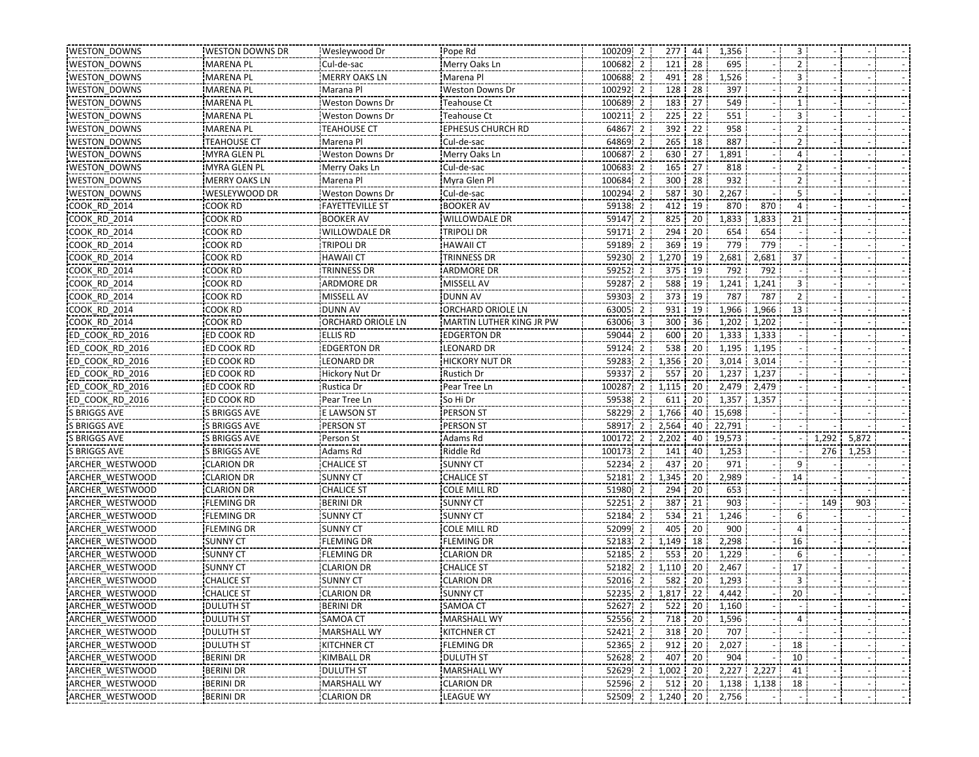| WESTON DOWNS           | WESTON DOWNS DR      | Wesleywood Dr            | Pope Rd                  | 100209 2                         |          | 277 44          | 1,356     |       | 3              |     |             |  |
|------------------------|----------------------|--------------------------|--------------------------|----------------------------------|----------|-----------------|-----------|-------|----------------|-----|-------------|--|
| <b>WESTON DOWNS</b>    | <b>MARENA PL</b>     | Cul-de-sac               | Merry Oaks Ln            | 100682 2                         | 121      | 28              | 695       |       | $\overline{2}$ |     |             |  |
| <b>WESTON DOWNS</b>    | <b>MARENA PL</b>     | <b>MERRY OAKS LN</b>     | Marena Pl                | 100688 2                         | 491      | 28              | 1,526     |       | 3              |     |             |  |
| <b>WESTON DOWNS</b>    | <b>MARENA PL</b>     | Marana Pl                | Weston Downs Dr          | 100292 2                         | 128      | 28              | 397       |       | 2              |     |             |  |
| WESTON_DOWNS           | <b>MARENA PL</b>     | <b>Weston Downs Dr</b>   | Teahouse Ct              | 100689 2                         | 183      | 27              | 549       |       |                |     |             |  |
| <b>WESTON DOWNS</b>    | <b>MARENA PL</b>     | Weston Downs Dr          | <b>Teahouse Ct</b>       | 100211 2                         | 225      | 22              | 551       |       | 3              |     |             |  |
| <b>WESTON DOWNS</b>    | MARENA PL            | <b>TEAHOUSE CT</b>       | <b>EPHESUS CHURCH RD</b> | 64867 2                          | 392      | 22              | 958       |       | 2              |     |             |  |
| WESTON_DOWNS           | <b>TEAHOUSE CT</b>   | Marena Pl                | Cul-de-sac               | 64869 2                          | 265      | 18              | 887       |       | 2              |     |             |  |
| WESTON_DOWNS           | <b>MYRA GLEN PL</b>  | Weston Downs Dr          | Merry Oaks Ln            | 100687 2                         | 630      | 27              | 1,891     |       | 4              |     |             |  |
| <b>WESTON DOWNS</b>    | MYRA GLEN PL         | Merry Oaks Ln            | Cul-de-sac               | 100683 2                         | 165      | 27              | 818       |       |                |     |             |  |
| <b>WESTON DOWNS</b>    | <b>MERRY OAKS LN</b> | Marena Pl                | Myra Glen Pl             | 100684 2                         | 300      | 28              | 932       |       | 2              |     |             |  |
| WESTON_DOWNS           | WESLEYWOOD DR        | <b>Weston Downs Dr</b>   | Cul-de-sac               | 100294 2                         | 587      | 30              | 2,267     |       |                |     |             |  |
| COOK_RD_2014           | <b>COOK RD</b>       | <b>FAYETTEVILLE ST</b>   | <b>BOOKER AV</b>         | 59138 2                          | 412      | 19              | 870       | 870   | 4              |     |             |  |
| <b>COOK RD 2014</b>    | <b>COOK RD</b>       | <b>BOOKER AV</b>         | <b>WILLOWDALE DR</b>     | 59147 2                          | 825      | 20              | 1,833     | 1,833 | 21             |     |             |  |
| <b>COOK RD 2014</b>    | <b>COOK RD</b>       | <b>WILLOWDALE DR</b>     | <b>TRIPOLI DR</b>        | 59171 2                          | 294      | 20              | 654       | 654   |                |     |             |  |
| COOK_RD_2014           | <b>COOK RD</b>       | tripoli dr               | <b>HAWAII CT</b>         | 59189 2                          | 369      | 19              | 779       | 779   |                |     |             |  |
| COOK_RD_2014           | <b>COOK RD</b>       | <b>HAWAII CT</b>         | <b>TRINNESS DR</b>       | 59230 2                          | 1,270    | 19              | 2,681     | 2,681 | 37             |     |             |  |
| <b>COOK RD 2014</b>    | <b>COOK RD</b>       | <b>TRINNESS DR</b>       | <b>ARDMORE DR</b>        | 59252 2                          | 375      | 19              | 792       | 792   |                |     |             |  |
| <b>COOK RD 2014</b>    | <b>COOK RD</b>       | <b>ARDMORE DR</b>        | MISSELL AV               | 59287 2                          | 588 19   |                 | 1,241     | 1,241 | 3              |     |             |  |
| COOK_RD_2014           | <b>COOK RD</b>       | <b>MISSELL AV</b>        | <b>DUNN AV</b>           | 59303 2                          | 373      | 19              | 787       | 787   | 2              |     |             |  |
| COOK_RD_2014           | COOK RD              | <b>DUNN AV</b>           | ORCHARD ORIOLE LN        | 63005<br>$\overline{2}$          | 931      | 19              | 1,966     | 1,966 | 13             |     |             |  |
| <b>COOK RD 2014</b>    | <b>COOK RD</b>       | <b>ORCHARD ORIOLE LN</b> | MARTIN LUTHER KING JR PW | $\overline{\mathbf{3}}$<br>63006 | 300      | 36              | 1,202     | 1,202 |                |     |             |  |
| ED COOK RD 2016        | <b>ED COOK RD</b>    | <b>ELLIS RD</b>          | <b>EDGERTON DR</b>       | 59044<br>$\overline{2}$          | 600      | 20              | 1,333     | 1,333 |                |     |             |  |
| ED COOK RD 2016        | ED COOK RD           | <b>EDGERTON DR</b>       | <b>LEONARD DR</b>        | 59124 2                          | 538      | 20              | 1,195     | 1,195 |                |     |             |  |
| ED COOK RD 2016        | <b>ED COOK RD</b>    | <b>LEONARD DR</b>        | <b>HICKORY NUT DR</b>    | 59283 2                          | 1,356    | 20              | 3,014     | 3,014 |                |     |             |  |
| ED COOK RD 2016        | <b>ED COOK RD</b>    | Hickory Nut Dr           | <b>Rustich Dr</b>        | 59337 2                          | 557      | 20              | 1,237     | 1,237 |                |     |             |  |
| ED_COOK_RD_2016        | <b>ED COOK RD</b>    | Rustica Dr               | Pear Tree Ln             | 100287 2                         | 1,115    | 20              | 2,479     | 2,479 |                |     |             |  |
| ED COOK RD 2016        | ED COOK RD           | Pear Tree Ln             | So Hi Dr                 | 59538 2                          | 611      | 20              | 1,357     | 1,357 |                |     |             |  |
| <b>S BRIGGS AVE</b>    | <b>S BRIGGS AVE</b>  | E LAWSON ST              | <b>PERSON ST</b>         | 58229<br>$\overline{2}$          | 1,766    | 40              | 15,698    |       |                |     |             |  |
| S BRIGGS AVE           | S BRIGGS AVE         | <b>PERSON ST</b>         | <b>PERSON ST</b>         | 58917 2                          | 2,564    |                 | 40 22,791 |       |                |     |             |  |
| S BRIGGS AVE           | S BRIGGS AVE         | Person St                | Adams Rd                 | 100172 2                         | 2,202    |                 | 40 19,573 |       |                |     | 1,292 5,872 |  |
| <b>S BRIGGS AVE</b>    | S BRIGGS AVE         | Adams Rd                 | Riddle Rd                | 100173 2                         | 141      | 40              | 1,253     |       |                | 276 | 1,253       |  |
| ARCHER WESTWOOD        | <b>CLARION DR</b>    | <b>CHALICE ST</b>        | <b>SUNNY CT</b>          | 52234 2                          | 437      | 20              | 971       |       | 9              |     |             |  |
| ARCHER WESTWOOD        | <b>CLARION DR</b>    | <b>SUNNY CT</b>          | <b>CHALICE ST</b>        | 52181 2                          | 1,345    | 20              | 2,989     |       | 14             |     |             |  |
| ARCHER_WESTWOOD        | <b>CLARION DR</b>    | <b>CHALICE ST</b>        | COLE MILL RD             | 51980 2                          | 294      | 20              | 653       |       |                |     |             |  |
| ARCHER WESTWOOD        | <b>FLEMING DR</b>    | <b>BERINI DR</b>         | <b>SUNNY CT</b>          | 52251 2                          | 387      | 21              | 903       |       |                | 149 | 903         |  |
| ARCHER WESTWOOD        | <b>FLEMING DR</b>    | <b>SUNNY CT</b>          | <b>SUNNY CT</b>          | 52184 2                          | 534      | 21              | 1,246     |       | 6              |     |             |  |
| ARCHER WESTWOOD        | <b>FLEMING DR</b>    | <b>SUNNY CT</b>          | <b>COLE MILL RD</b>      | 52099 2                          | 405 20   |                 | 900       |       | 4              |     |             |  |
| ARCHER_WESTWOOD        | <b>SUNNY CT</b>      | <b>FLEMING DR</b>        | <b>FLEMING DR</b>        | 52183 2                          | 1,149 18 |                 | 2,298     |       | 16             |     |             |  |
| ARCHER WESTWOOD        | <b>SUNNY CT</b>      | <b>FLEMING DR</b>        | <b>CLARION DR</b>        | 52185 2                          | 553      | 20              | 1,229     |       | 6              |     |             |  |
| ARCHER WESTWOOD        | <b>SUNNY CT</b>      | <b>CLARION DR</b>        | <b>CHALICE ST</b>        | 52182 2                          | 1,110    | 20              | 2,467     |       | 17             |     |             |  |
| ARCHER WESTWOOD        | <b>CHALICE ST</b>    | <b>SUNNY CT</b>          | <b>CLARION DR</b>        | 52016 2                          | 582      | 20              | 1,293     |       | 3              |     |             |  |
| ARCHER WESTWOOD        | <b>CHALICE ST</b>    | <b>CLARION DR</b>        | <b>SUNNY CT</b>          | 52235 2 1,817                    |          | 22 <sub>1</sub> | 4,442     |       | 20             |     |             |  |
| ARCHER WESTWOOD        | <b>DULUTH ST</b>     | <b>BERINI DR</b>         | SAMOA CT                 | 52627 2                          | 522      | 20              | 1,160     |       |                |     |             |  |
| <b>ARCHER WESTWOOD</b> | <b>DULUTH ST</b>     | SAMOA CT                 | <b>MARSHALL WY</b>       | 52556 2                          | 718      | 20              | 1,596     |       | 4              |     |             |  |
| ARCHER WESTWOOD        | <b>DULUTH ST</b>     | MARSHALL WY              | <b>KITCHNER CT</b>       | 52421 2                          | 318 20   |                 | 707       |       |                |     |             |  |
| ARCHER WESTWOOD        | <b>DULUTH ST</b>     | <b>KITCHNER CT</b>       | <b>FLEMING DR</b>        | 52365 2                          | 912      | 20              | 2,027     |       | 18             |     |             |  |
| ARCHER WESTWOOD        | <b>BERINI DR</b>     | <b>KIMBALL DR</b>        | <b>DULUTH ST</b>         | 52628 2                          | 407      | 20              | 904       |       | 10             |     |             |  |
| ARCHER WESTWOOD        | <b>BERINI DR</b>     | <b>DULUTH ST</b>         | <b>MARSHALL WY</b>       | 52629 2                          | 1,002    | 20              | 2,227     | 2,227 | 41             |     |             |  |
| ARCHER_WESTWOOD        | <b>BERINI DR</b>     | MARSHALL WY              | <b>CLARION DR</b>        | 52596 2                          | 512      | 20 <sub>1</sub> | 1,138     | 1,138 | 18             |     |             |  |
| ARCHER WESTWOOD        | <b>BERINI DR</b>     | <b>CLARION DR</b>        | <b>LEAGUE WY</b>         | 52509 2                          | 1,240    | 20              | 2,756     |       |                |     |             |  |
|                        |                      |                          |                          |                                  |          |                 |           |       |                |     |             |  |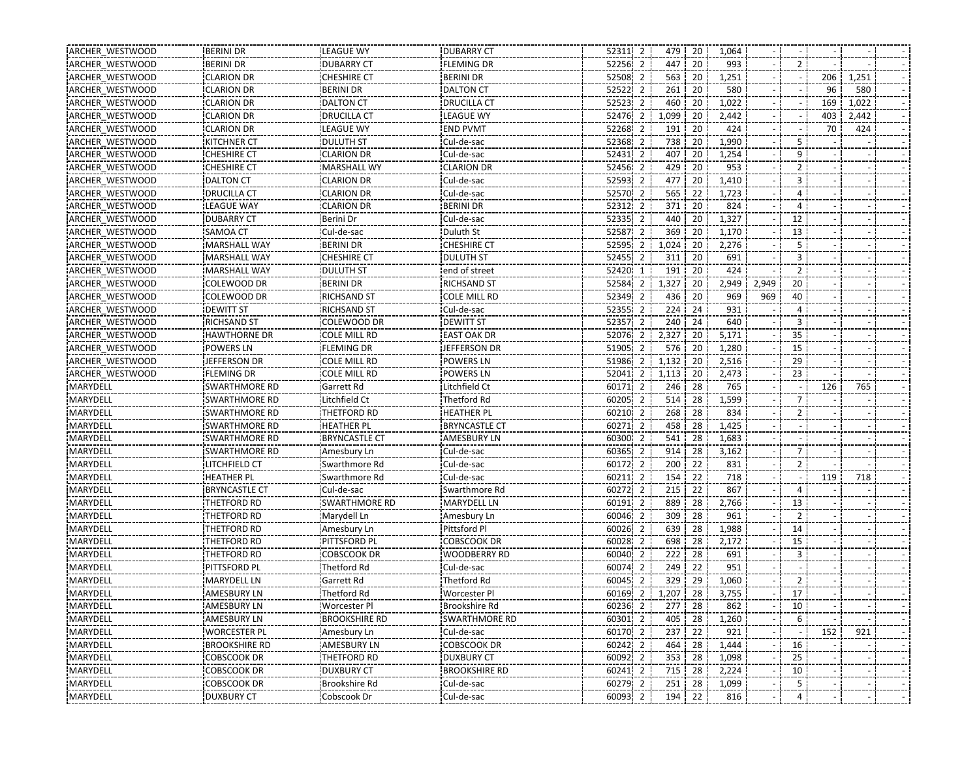| ARCHER WESTWOOD | <b>BERINI DR</b>     | LEAGUE WY            | DUBARRY CT           | 52311 2                 | 479 20  |                 | 1,064 |       |    |     |       |  |
|-----------------|----------------------|----------------------|----------------------|-------------------------|---------|-----------------|-------|-------|----|-----|-------|--|
| ARCHER WESTWOOD | <b>BERINI DR</b>     | <b>DUBARRY CT</b>    | <b>FLEMING DR</b>    | 52256 2                 | 447     | 20              | 993   |       | -2 |     |       |  |
| ARCHER WESTWOOD | <b>CLARION DR</b>    | <b>CHESHIRE CT</b>   | <b>BERINI DR</b>     | 52508 2                 | 563     | 20              | 1,251 |       |    | 206 | 1,251 |  |
| ARCHER WESTWOOD | <b>CLARION DR</b>    | <b>BERINI DR</b>     | <b>DALTON CT</b>     | 52522 2                 | 261     | 20              | 580   |       |    | 96  | 580   |  |
| ARCHER WESTWOOD | <b>CLARION DR</b>    | <b>DALTON CT</b>     | <b>DRUCILLA CT</b>   | 52523 2                 | 460     | 20              | 1,022 |       |    | 169 | 1,022 |  |
| ARCHER WESTWOOD | <b>CLARION DR</b>    | <b>DRUCILLA CT</b>   | <b>LEAGUE WY</b>     | 52476 2                 | 1,099   | 20              | 2,442 |       |    | 403 | 2,442 |  |
| ARCHER WESTWOOD | <b>CLARION DR</b>    | <b>LEAGUE WY</b>     | <b>END PVMT</b>      | 52268 2                 | 191     | 20              | 424   |       |    | 70  | 424   |  |
| ARCHER_WESTWOOD | <b>KITCHNER CT</b>   | <b>DULUTH ST</b>     | Cul-de-sac           | 52368 2                 | 738     | 20              | 1,990 |       | 5  |     |       |  |
| ARCHER_WESTWOOD | <b>CHESHIRE CT</b>   | <b>CLARION DR</b>    | Cul-de-sac           | 52431 2                 | 407     | 20              | 1,254 |       | 9  |     |       |  |
| ARCHER WESTWOOD | <b>CHESHIRE CT</b>   | <b>MARSHALL WY</b>   | <b>CLARION DR</b>    | 52456<br>$\overline{2}$ | 429     | 20              | 953   |       | 2  |     |       |  |
| ARCHER WESTWOOD | <b>DALTON CT</b>     | <b>CLARION DR</b>    | Cul-de-sac           | 52593 2                 | 477     | 20              | 1,410 |       | 3  |     |       |  |
| ARCHER WESTWOOD | <b>DRUCILLA CT</b>   | <b>CLARION DR</b>    | Cul-de-sac           | 52570 2                 | 565     | 22              | 1,723 |       | 4  |     |       |  |
| ARCHER WESTWOOD | LEAGUE WAY           | <b>CLARION DR</b>    | <b>BERINI DR</b>     | 52312 2                 | 371     | 20              | 824   |       | 4  |     |       |  |
| ARCHER WESTWOOD | <b>DUBARRY CT</b>    | Berini Dr            | Cul-de-sac           | $\overline{2}$<br>52335 | 440     | 20              | 1,327 |       | 12 |     |       |  |
| ARCHER WESTWOOD | <b>SAMOA CT</b>      | Cul-de-sac           | Duluth St            | 52587 2                 | 369     | 20              | 1,170 |       | 13 |     |       |  |
| ARCHER_WESTWOOD | MARSHALL WAY         | <b>BERINI DR</b>     | <b>CHESHIRE CT</b>   | 52595 2                 | 1,024   | 20              | 2,276 |       | 5  |     |       |  |
| ARCHER WESTWOOD | <b>MARSHALL WAY</b>  | <b>CHESHIRE CT</b>   | <b>DULUTH ST</b>     | 52455 2                 | 311     | 20              | 691   |       | 3  |     |       |  |
| ARCHER WESTWOOD | MARSHALL WAY         | <b>DULUTH ST</b>     | end of street        | 52420 1                 | 191     | 20              | 424   |       | 2  |     |       |  |
| ARCHER WESTWOOD | <b>COLEWOOD DR</b>   | <b>BERINI DR</b>     | <b>RICHSAND ST</b>   | 52584 2                 | 1,327   | 20              | 2,949 | 2,949 | 20 |     |       |  |
| ARCHER WESTWOOD | COLEWOOD DR          | <b>RICHSAND ST</b>   | <b>COLE MILL RD</b>  | 52349 2                 | 436     | 20              | 969   | 969   | 40 |     |       |  |
| ARCHER WESTWOOD | <b>DEWITT ST</b>     | <b>RICHSAND ST</b>   | Cul-de-sac           | 52355 2                 | 224     | 24              | 931   |       | 4  |     |       |  |
| ARCHER WESTWOOD | <b>RICHSAND ST</b>   | COLEWOOD DR          | <b>DEWITT ST</b>     | 52357 2                 | 240     | 24              | 640   |       | 3  |     |       |  |
| ARCHER WESTWOOD | <b>HAWTHORNE DR</b>  | <b>COLE MILL RD</b>  | <b>EAST OAK DR</b>   | 52076 2                 | 2,327   | 20              | 5,171 |       | 35 |     |       |  |
| ARCHER_WESTWOOD | <b>POWERS LN</b>     | <b>FLEMING DR</b>    | JEFFERSON DR         | 51905<br>$\overline{2}$ | 576     | 20              | 1,280 |       | 15 |     |       |  |
| ARCHER WESTWOOD | JEFFERSON DR         | <b>COLE MILL RD</b>  | <b>POWERS LN</b>     | 51986 2                 | 1,132   | 20              | 2,516 |       | 29 |     |       |  |
| ARCHER WESTWOOD | <b>FLEMING DR</b>    | <b>COLE MILL RD</b>  | <b>POWERS LN</b>     | 52041 2                 | 1,113   | 20 <sup>1</sup> | 2,473 |       | 23 |     |       |  |
| MARYDELL        | <b>SWARTHMORE RD</b> | Garrett Rd           | Litchfield Ct        | 60171 2                 | 246     | 28              | 765   |       |    | 126 | 765   |  |
| MARYDELL        | <b>SWARTHMORE RD</b> | Litchfield Ct        | Thetford Rd          | 60205<br>$\overline{2}$ | 514     | 28              | 1,599 |       | 7  |     |       |  |
| <b>MARYDELL</b> | <b>SWARTHMORE RD</b> | THETFORD RD          | <b>HEATHER PL</b>    | 60210<br>$\overline{2}$ | 268     | 28              | 834   |       | 2  |     |       |  |
| <b>MARYDELL</b> | <b>SWARTHMORE RD</b> | <b>HEATHER PL</b>    | <b>BRYNCASTLE CT</b> | 60271 2                 | 458     | 28              | 1,425 |       |    |     |       |  |
| MARYDELL        | <b>SWARTHMORE RD</b> | <b>BRYNCASTLE CT</b> | <b>AMESBURY LN</b>   | 60300 2                 | 541     | 28              | 1,683 |       |    |     |       |  |
| MARYDELL        | <b>SWARTHMORE RD</b> | Amesbury Ln          | Cul-de-sac           | 60365 2                 | 914     | 28              | 3,162 |       | 7  |     |       |  |
| MARYDELL        | LITCHFIELD CT        | Swarthmore Rd        | Cul-de-sac           | 60172 2                 | 200     | $\frac{1}{22}$  | 831   |       | 2  |     |       |  |
| <b>MARYDELL</b> | <b>HEATHER PL</b>    | Swarthmore Rd        | Cul-de-sac           | 60211 2                 | 154     | 22              | 718   |       |    | 119 | 718   |  |
| MARYDELL        | <b>BRYNCASTLE CT</b> | Cul-de-sac           | Swarthmore Rd        | 60272 2                 | $215 -$ | 22              | 867   |       | 4  |     |       |  |
| MARYDELL        | THETFORD RD          | <b>SWARTHMORE RD</b> | <b>MARYDELL LN</b>   | 60191 2                 | 889     | 28              | 2,766 |       | 13 |     |       |  |
| MARYDELL        | <b>THETFORD RD</b>   | Marydell Ln          | Amesbury Ln          | 60046<br>$\overline{2}$ | 309 i   | 28              | 961   |       | 2  |     |       |  |
| MARYDELL        | <b>THETFORD RD</b>   | Amesbury Ln          | Pittsford Pl         | 60026 2                 | 639     | 28              | 1,988 |       | 14 |     |       |  |
| MARYDELL        | <b>THETFORD RD</b>   | <b>PITTSFORD PL</b>  | <b>COBSCOOK DR</b>   | 60028 2                 | 698     | 28              | 2,172 |       | 15 |     |       |  |
| MARYDELL        | <b>THETFORD RD</b>   | <b>COBSCOOK DR</b>   | <b>WOODBERRY RD</b>  | 60040 2                 | 222     | 28              | 691   |       | 3  |     |       |  |
| MARYDELL        | PITTSFORD PL         | Thetford Rd          | Cul-de-sac           | 60074<br>$\overline{2}$ | 249     | 22              | 951   |       |    |     |       |  |
| MARYDELL        | <b>MARYDELL LN</b>   | Garrett Rd           | Thetford Rd          | 60045 2                 | 329     | 29              | 1,060 |       | 2  |     |       |  |
| <b>MARYDELL</b> | <b>AMESBURY LN</b>   | Thetford Rd          | <b>Worcester Pl</b>  | 60169 2                 | 1,207   | 28              | 3,755 |       | 17 |     |       |  |
| MARYDELL        | AMESBURY LN          | Worcester Pl         | Brookshire Rd        | 60236 2                 | 277 28  |                 | 862   |       | 10 |     |       |  |
| MARYDELL        | <b>AMESBURY LN</b>   | <b>BROOKSHIRE RD</b> | <b>SWARTHMORE RD</b> | 60301 2                 | 405     | 28              | 1,260 |       | 6  |     |       |  |
| MARYDELL        | <b>WORCESTER PL</b>  | Amesbury Ln          | Cul-de-sac           | 60170 2                 | 237 22  |                 | 921   |       |    | 152 | 921   |  |
| MARYDELL        | <b>BROOKSHIRE RD</b> | AMESBURY LN          | <b>COBSCOOK DR</b>   | 60242 2                 | 464     | 28              | 1,444 |       | 16 |     |       |  |
| MARYDELL        | <b>COBSCOOK DR</b>   | THETFORD RD          | <b>DUXBURY CT</b>    | 60092 2                 | 353     | 28              | 1,098 |       | 25 |     |       |  |
| <b>MARYDELL</b> | <b>COBSCOOK DR</b>   | <b>DUXBURY CT</b>    | <b>BROOKSHIRE RD</b> | 60241 2                 | 715     | 28              | 2,224 |       | 10 |     |       |  |
| MARYDELL        | <b>COBSCOOK DR</b>   | Brookshire Rd        | Cul-de-sac           | 60279 2                 | 251     | 28              | 1,099 |       | 5  |     |       |  |
| MARYDELL        | <b>DUXBURY CT</b>    | Cobscook Dr          | Cul-de-sac           | 60093 2                 | 194     | 22              | 816   |       | 4  |     |       |  |
|                 |                      |                      |                      |                         |         |                 |       |       |    |     |       |  |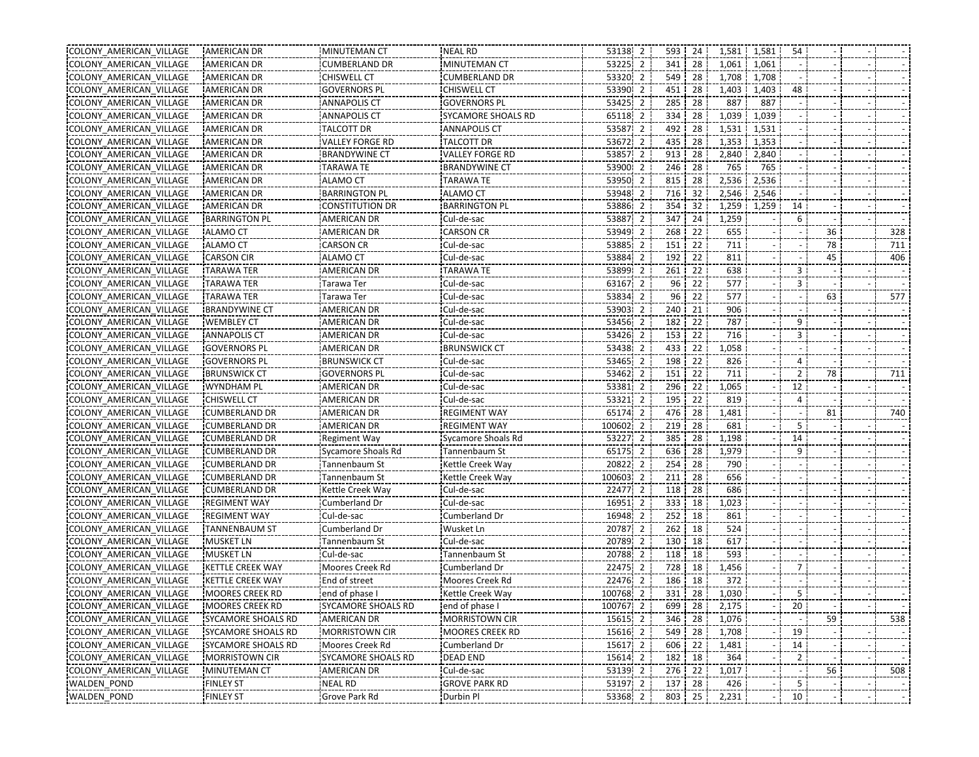| COLONY AMERICAN VILLAGE | AMERICAN DR             | MINUTEMAN CT              | <b>NEAL RD</b>            | 53138 2  |    | 593 24                                              |                |       | 1,581 1,581 | 54                   |    |     |
|-------------------------|-------------------------|---------------------------|---------------------------|----------|----|-----------------------------------------------------|----------------|-------|-------------|----------------------|----|-----|
| COLONY AMERICAN VILLAGE | <b>AMERICAN DR</b>      | <b>CUMBERLAND DR</b>      | MINUTEMAN CT              | 53225 2  |    | 341                                                 | $\frac{1}{28}$ | 1,061 | 1,061       |                      |    |     |
| COLONY AMERICAN VILLAGE | <b>AMERICAN DR</b>      | <b>CHISWELL CT</b>        | <b>CUMBERLAND DR</b>      | 53320 2  |    | 549 28                                              |                | 1,708 | 1,708       |                      |    |     |
| COLONY AMERICAN VILLAGE | <b>AMERICAN DR</b>      | <b>GOVERNORS PL</b>       | <b>CHISWELL CT</b>        | 53390 2  |    | 451 28                                              |                | 1,403 | 1,403       | 48                   |    |     |
| COLONY AMERICAN VILLAGE | AMERICAN DR             | <b>ANNAPOLIS CT</b>       | <b>GOVERNORS PL</b>       | 53425 2  |    | 285                                                 | 28             | 887   | 887         |                      |    |     |
| COLONY_AMERICAN_VILLAGE | <b>AMERICAN DR</b>      | <b>ANNAPOLIS CT</b>       | <b>SYCAMORE SHOALS RD</b> | 65118 2  |    | 334 28                                              |                | 1,039 | 1,039       |                      |    |     |
| COLONY AMERICAN VILLAGE | <b>AMERICAN DR</b>      | <b>TALCOTT DR</b>         | <b>ANNAPOLIS CT</b>       | 53587 2  |    | 492                                                 | 28             | 1,531 | 1,531       |                      |    |     |
| COLONY AMERICAN VILLAGE | AMERICAN DR             | <b>VALLEY FORGE RD</b>    | TALCOTT DR                | 53672 2  |    | 435 28                                              |                | 1,353 | 1,353       |                      |    |     |
| COLONY AMERICAN VILLAGE | <b>AMERICAN DR</b>      | <b>BRANDYWINE CT</b>      | <b>VALLEY FORGE RD</b>    | 53857 2  |    | 913 28                                              |                | 2,840 | 2,840       |                      |    |     |
| COLONY AMERICAN VILLAGE | <b>AMERICAN DR</b>      | <b>TARAWA TE</b>          | <b>BRANDYWINE CT</b>      | 53900 2  |    | 246 28                                              |                | 765   | 765         |                      |    |     |
| COLONY AMERICAN VILLAGE | <b>AMERICAN DR</b>      | <b>ALAMO CT</b>           | <b>TARAWA TE</b>          | 53950 2  |    | 815 28                                              |                | 2,536 | 2,536       |                      |    |     |
| COLONY AMERICAN VILLAGE | AMERICAN DR             | <b>BARRINGTON PL</b>      | ALAMO CT                  | 53948 2  |    | 716                                                 | - 32           | 2,546 | 2,546       |                      |    |     |
| COLONY AMERICAN VILLAGE | <b>AMERICAN DR</b>      | <b>CONSTITUTION DR</b>    | <b>BARRINGTON PL</b>      | 53886    | -2 | 354                                                 | - 32           | 1,259 | 1,259       | 14                   |    |     |
| COLONY AMERICAN VILLAGE | <b>BARRINGTON PL</b>    | AMERICAN DR               | Cul-de-sac                | 53887 2  |    | 347 24                                              |                | 1,259 |             | 6                    |    |     |
| COLONY AMERICAN VILLAGE | <b>ALAMO CT</b>         | AMERICAN DR               | <b>CARSON CR</b>          | 53949 2  |    | 268 22                                              |                | 655   |             |                      | 36 | 328 |
| COLONY AMERICAN VILLAGE | ALAMO CT                | <b>CARSON CR</b>          | Cul-de-sac                | 53885 2  |    | 151                                                 | $\frac{1}{22}$ | 711   |             |                      | 78 | 711 |
| COLONY AMERICAN VILLAGE | <b>CARSON CIR</b>       | <b>ALAMO CT</b>           | Cul-de-sac                | 53884 2  |    | 192 22                                              |                | 811   |             |                      | 45 | 406 |
| COLONY AMERICAN VILLAGE | <b>TARAWA TER</b>       | AMERICAN DR               | <b>TARAWA TE</b>          | 53899 2  |    | 261                                                 | 22             | 638   |             | 3                    |    |     |
| COLONY AMERICAN VILLAGE | <b>TARAWA TER</b>       | Tarawa Ter                | Cul-de-sac                | 63167 2  |    | 96 22                                               |                | 577   |             | 3                    |    |     |
| COLONY AMERICAN VILLAGE | <b>TARAWA TER</b>       | Tarawa Ter                | Cul-de-sac                | 53834 2  |    | 96 22                                               |                | 577   |             |                      | 63 | 577 |
| COLONY AMERICAN VILLAGE | <b>BRANDYWINE CT</b>    | <b>AMERICAN DR</b>        | Cul-de-sac                | 53903 2  |    | 240                                                 | $\frac{1}{21}$ | 906   |             |                      |    |     |
| COLONY AMERICAN VILLAGE | <b>WEMBLEY CT</b>       | AMERICAN DR               | Cul-de-sac                | 53456 2  |    | 182 22                                              |                | 787   |             | 9                    |    |     |
| COLONY_AMERICAN_VILLAGE | <b>ANNAPOLIS CT</b>     | AMERICAN DR               | Cul-de-sac                | 53426 2  |    | 153 22                                              |                | 716   |             | 3                    |    |     |
| COLONY AMERICAN VILLAGE | <b>GOVERNORS PL</b>     | AMERICAN DR               | <b>BRUNSWICK CT</b>       | 53438 2  |    | 433 22                                              |                | 1,058 |             |                      |    |     |
| COLONY AMERICAN VILLAGE | <b>GOVERNORS PL</b>     | <b>BRUNSWICK CT</b>       | Cul-de-sac                | 53465 2  |    | 198 22                                              |                | 826   |             | 4                    |    |     |
| COLONY AMERICAN VILLAGE | <b>BRUNSWICK CT</b>     | <b>GOVERNORS PL</b>       | Cul-de-sac                | 53462 2  |    | 151                                                 | 122            | 711   |             | 2                    | 78 | 711 |
| COLONY AMERICAN VILLAGE | WYNDHAM PL              | AMERICAN DR               | Cul-de-sac                | 53381 2  |    | 296 22                                              |                | 1,065 |             | 12                   |    |     |
| COLONY AMERICAN VILLAGE | <b>CHISWELL CT</b>      | AMERICAN DR               | Cul-de-sac                | 53321 2  |    | 195                                                 | 22             | 819   |             |                      |    |     |
| COLONY AMERICAN VILLAGE | <b>CUMBERLAND DR</b>    | AMERICAN DR               | <b>REGIMENT WAY</b>       | 65174 2  |    | 476 28                                              |                | 1,481 |             |                      | 81 | 740 |
| COLONY AMERICAN VILLAGE | <b>CUMBERLAND DR</b>    | <b>AMERICAN DR</b>        | <b>REGIMENT WAY</b>       | 100602 2 |    | 219 28                                              |                | 681   |             | 5.                   |    |     |
| COLONY AMERICAN VILLAGE | <b>CUMBERLAND DR</b>    | Regiment Way              | Sycamore Shoals Rd        | 53227 2  |    | 385 28                                              |                | 1,198 |             | 14                   |    |     |
| COLONY AMERICAN VILLAGE | <b>CUMBERLAND DR</b>    | Sycamore Shoals Rd        | Tannenbaum St             | 65175 2  |    | 636 28                                              |                | 1,979 |             | 9                    |    |     |
| COLONY_AMERICAN_VILLAGE | <b>CUMBERLAND DR</b>    | Tannenbaum St             | Kettle Creek Way          | 20822 2  |    | 254 28                                              |                | 790   |             |                      |    |     |
| COLONY AMERICAN VILLAGE | <b>CUMBERLAND DR</b>    | Tannenbaum St             | Kettle Creek Way          | 100603 2 |    | 211 28                                              |                | 656   |             |                      |    |     |
| COLONY AMERICAN VILLAGE | <b>CUMBERLAND DR</b>    | Kettle Creek Way          | Cul-de-sac                | 22477 2  |    | 118                                                 | 28             | 686   |             |                      |    |     |
| COLONY AMERICAN VILLAGE | <b>REGIMENT WAY</b>     | Cumberland Dr             | Cul-de-sac                | 16951 2  |    | 333                                                 | 18             | 1,023 |             |                      |    |     |
| COLONY AMERICAN VILLAGE | <b>REGIMENT WAY</b>     | Cul-de-sac                | Cumberland Dr             | 16948 2  |    | 252 18                                              |                | 861   |             |                      |    |     |
| COLONY AMERICAN VILLAGE | <b>TANNENBAUM ST</b>    | Cumberland Dr             | Wusket Ln                 | 20787 2  |    | 262 18                                              |                | 524   |             |                      |    |     |
| COLONY AMERICAN VILLAGE | <b>MUSKET LN</b>        | Tannenbaum St             | Cul-de-sac                | 20789 2  |    | 130 18                                              |                | 617   |             |                      |    |     |
| COLONY AMERICAN VILLAGE | <b>MUSKET LN</b>        | Cul-de-sac                | Tannenbaum St             | 20788    |    | 118                                                 | 18             | 593   |             |                      |    |     |
| COLONY AMERICAN VILLAGE | <b>KETTLE CREEK WAY</b> | Moores Creek Rd           | Cumberland Dr             | 22475 2  |    | 728                                                 | $\frac{1}{2}$  | 1,456 |             | 7                    |    |     |
| COLONY AMERICAN VILLAGE | <b>KETTLE CREEK WAY</b> | End of street             | Moores Creek Rd           | 22476 2  |    | 186                                                 | $\frac{1}{2}$  | 372   |             |                      |    |     |
| COLONY AMERICAN VILLAGE | <b>MOORES CREEK RD</b>  | end of phase I            | Kettle Creek Way          | 100768 2 |    | 331                                                 | 28             | 1,030 |             | 5                    |    |     |
| COLONY AMERICAN VILLAGE | MOORES CREEK RD         | SYCAMORE SHOALS RD        | end of phase I            | 100767 2 |    | 699 28                                              |                | 2,175 |             | 20                   |    |     |
| COLONY AMERICAN VILLAGE | SYCAMORE SHOALS RD      | <b>AMERICAN DR</b>        | <b>MORRISTOWN CIR</b>     | 15615 2  |    | 346 28                                              |                | 1,076 |             |                      | 59 | 538 |
| COLONY AMERICAN VILLAGE | SYCAMORE SHOALS RD      | <b>MORRISTOWN CIR</b>     | <b>MOORES CREEK RD</b>    | 15616 2  |    | 549 28                                              |                | 1,708 |             |                      |    |     |
| COLONY AMERICAN VILLAGE | SYCAMORE SHOALS RD      | Moores Creek Rd           | Cumberland Dr             | 15617 2  |    | 606 22                                              |                | 1,481 |             | $\frac{19}{1}$<br>14 |    |     |
| COLONY AMERICAN VILLAGE | MORRISTOWN CIR          | <b>SYCAMORE SHOALS RD</b> | <b>DEAD END</b>           | 15614 2  |    | $\begin{array}{c c}\n\hline\n182 & 18\n\end{array}$ |                | 364   |             | $\overline{2}$       |    |     |
| COLONY AMERICAN VILLAGE | MINUTEMAN CT            | <b>AMERICAN DR</b>        | Cul-de-sac                | 53139 2  |    | 276 22                                              |                | 1,017 |             |                      | 56 | 508 |
| WALDEN_POND             | <b>FINLEY ST</b>        | NEAL RD                   | <b>GROVE PARK RD</b>      | 53197 2  |    | 137 28                                              |                | 426   |             | 5                    |    |     |
| WALDEN_POND             | <b>FINLEY ST</b>        | Grove Park Rd             | Durbin Pl                 | 53368 2  |    | 803 25                                              |                | 2,231 |             | 10                   |    |     |
|                         |                         |                           |                           |          |    |                                                     |                |       |             |                      |    |     |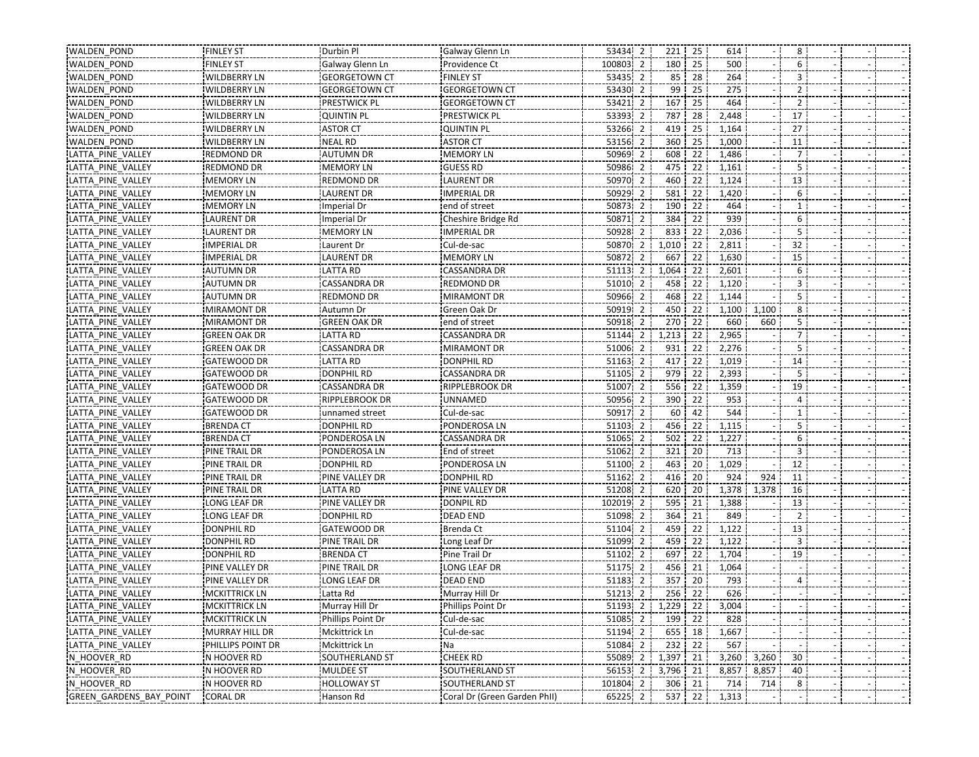| WALDEN POND             | <b>FINLEY ST</b>      | Durbin Pl            | Galway Glenn Ln              | 53434 2                 | 221 25     |                | 614   |       | 8  |  |  |
|-------------------------|-----------------------|----------------------|------------------------------|-------------------------|------------|----------------|-------|-------|----|--|--|
| <b>WALDEN POND</b>      | <b>FINLEY ST</b>      | Galway Glenn Ln      | Providence Ct                | 100803 2                | 180        | 25             | 500   |       | 6  |  |  |
| <b>WALDEN POND</b>      | <b>WILDBERRY LN</b>   | <b>GEORGETOWN CT</b> | <b>FINLEY ST</b>             | 53435 2                 | 85         | 28             | 264   |       | 3  |  |  |
| <b>WALDEN POND</b>      | <b>WILDBERRY LN</b>   | <b>GEORGETOWN CT</b> | <b>GEORGETOWN CT</b>         | 53430 2                 |            | 99 25          | 275   |       | 2  |  |  |
| <b>WALDEN POND</b>      | WILDBERRY LN          | PRESTWICK PL         | <b>GEORGETOWN CT</b>         | 53421 2                 | 167        | 25             | 464   |       | 2  |  |  |
| WALDEN_POND             | WILDBERRY LN          | <b>QUINTIN PL</b>    | PRESTWICK PL                 | 53393 2                 | 787        | 28             | 2,448 |       | 17 |  |  |
| <b>WALDEN POND</b>      | <b>WILDBERRY LN</b>   | <b>ASTOR CT</b>      | <b>QUINTIN PL</b>            | 53266 2                 | 419        | 25             | 1,164 |       | 27 |  |  |
| <b>WALDEN POND</b>      | <b>WILDBERRY LN</b>   | <b>NEAL RD</b>       | <b>ASTOR CT</b>              | 53156 2                 | 360        | 25             | 1,000 |       | 11 |  |  |
| LATTA_PINE_VALLEY       | REDMOND DR            | <b>AUTUMN DR</b>     | <b>MEMORY LN</b>             | 50969 2                 | 608        | 22             | 1,486 |       |    |  |  |
| LATTA_PINE_VALLEY       | <b>REDMOND DR</b>     | <b>MEMORY LN</b>     | <b>GUESS RD</b>              | 50986<br>$\overline{2}$ | 475        | 22             | 1,161 |       | 5  |  |  |
| LATTA PINE VALLEY       | <b>MEMORY LN</b>      | <b>REDMOND DR</b>    | <b>LAURENT DR</b>            | 50970 2                 | 460        | 22             | 1,124 |       | 13 |  |  |
| LATTA PINE VALLEY       | <b>MEMORY LN</b>      | <b>LAURENT DR</b>    | <b>IMPERIAL DR</b>           | 50929 2                 | 581        | 22             | 1,420 |       | 6  |  |  |
| LATTA PINE VALLEY       | <b>MEMORY LN</b>      | Imperial Dr          | end of street                | 50873 2                 | 190        | 22             | 464   |       | 1  |  |  |
| LATTA_PINE_VALLEY       | <b>LAURENT DR</b>     | Imperial Dr          | Cheshire Bridge Rd           | 50871<br>$\overline{2}$ | 384        | 22             | 939   |       | 6  |  |  |
| LATTA PINE VALLEY       | <b>LAURENT DR</b>     | <b>MEMORY LN</b>     | <b>IMPERIAL DR</b>           | 50928 2                 | 833        | 22             | 2,036 |       | 5  |  |  |
| LATTA_PINE_VALLEY       | <b>IMPERIAL DR</b>    | Laurent Dr           | Cul-de-sac                   | 50870 2                 | $1,010$ 22 |                | 2,811 |       | 32 |  |  |
| LATTA PINE VALLEY       | <b>IMPERIAL DR</b>    | <b>LAURENT DR</b>    | <b>MEMORY LN</b>             | 50872 2                 | 667        | 22             | 1,630 |       | 15 |  |  |
| LATTA_PINE_VALLEY       | <b>AUTUMN DR</b>      | LATTA RD             | <b>CASSANDRA DR</b>          | 51113 2                 | 1,064      | 22             | 2,601 |       | 6  |  |  |
| LATTA PINE VALLEY       | <b>AUTUMN DR</b>      | <b>CASSANDRA DR</b>  | <b>REDMOND DR</b>            | 51010 2                 | 458 22     |                | 1,120 |       | 3  |  |  |
| LATTA_PINE_VALLEY       | <b>AUTUMN DR</b>      | REDMOND DR           | <b>MIRAMONT DR</b>           | 50966 2                 | 468        | 22             | 1,144 |       | 5  |  |  |
| LATTA PINE VALLEY       | <b>MIRAMONT DR</b>    | Autumn Dr            | Green Oak Dr                 | 50919 2                 | 450        | -22            | 1,100 | 1,100 | 8  |  |  |
| LATTA PINE VALLEY       | <b>MIRAMONT DR</b>    | <b>GREEN OAK DR</b>  | end of street                | 50918 2                 | 270        | 22             | 660   | 660   | 5  |  |  |
| LATTA_PINE_VALLEY       | <b>GREEN OAK DR</b>   | <b>LATTA RD</b>      | <b>CASSANDRA DR</b>          | 51144 2                 | 1,213      | $\frac{1}{22}$ | 2,965 |       | 7  |  |  |
| LATTA_PINE_VALLEY       | <b>GREEN OAK DR</b>   | <b>CASSANDRA DR</b>  | MIRAMONT DR                  | 51006 2                 | 931        | 22             | 2,276 |       | 5  |  |  |
| LATTA PINE VALLEY       | <b>GATEWOOD DR</b>    | <b>LATTA RD</b>      | <b>DONPHIL RD</b>            | 51163 2                 | 417        | 22             | 1,019 |       | 14 |  |  |
| LATTA PINE VALLEY       | <b>GATEWOOD DR</b>    | <b>DONPHIL RD</b>    | <b>CASSANDRA DR</b>          | 51105 2                 | 979        | 22             | 2,393 |       | 5  |  |  |
| LATTA PINE VALLEY       | <b>GATEWOOD DR</b>    | <b>CASSANDRA DR</b>  | RIPPLEBROOK DR               | 51007 2                 | 556 22     |                | 1,359 |       | 19 |  |  |
| LATTA PINE VALLEY       | <b>GATEWOOD DR</b>    | RIPPLEBROOK DR       | <b>UNNAMED</b>               | 50956 2                 | 390        | 22             | 953   |       |    |  |  |
| LATTA PINE VALLEY       | <b>GATEWOOD DR</b>    | unnamed street       | Cul-de-sac                   | 50917<br>$\overline{2}$ | 60         | 42             | 544   |       |    |  |  |
| LATTA PINE VALLEY       | <b>BRENDA CT</b>      | <b>DONPHIL RD</b>    | PONDEROSA LN                 | 51103 2                 | 456        | 22             | 1,115 |       | 5  |  |  |
| LATTA_PINE_VALLEY       | <b>BRENDA CT</b>      | PONDEROSA LN         | <b>CASSANDRA DR</b>          | 51065 2                 | 502        | 22             | 1,227 |       | 6  |  |  |
| LATTA PINE VALLEY       | PINE TRAIL DR         | PONDEROSA LN         | End of street                | 51062 2                 | 321        | 20             | 713   |       | 3  |  |  |
| LATTA_PINE_VALLEY       | PINE TRAIL DR         | <b>DONPHIL RD</b>    | PONDEROSA LN                 | 51100 2                 | 463        | 20             | 1,029 |       | 12 |  |  |
| LATTA PINE VALLEY       | <b>PINE TRAIL DR</b>  | PINE VALLEY DR       | <b>DONPHIL RD</b>            | 51162 2                 | 416        | 20             | 924   | 924   | 11 |  |  |
| LATTA_PINE_VALLEY       | PINE TRAIL DR         | <b>LATTA RD</b>      | PINE VALLEY DR               | 51208 2                 | 620        | 20             | 1,378 | 1,378 | 16 |  |  |
| LATTA PINE VALLEY       | LONG LEAF DR          | PINE VALLEY DR       | <b>DONPIL RD</b>             | 102019 2                | 595        | 21             | 1,388 |       | 13 |  |  |
| LATTA_PINE_VALLEY       | LONG LEAF DR          | <b>DONPHIL RD</b>    | <b>DEAD END</b>              | 51098 2                 | 364        | 21             | 849   |       | 2  |  |  |
| LATTA PINE VALLEY       | <b>DONPHIL RD</b>     | <b>GATEWOOD DR</b>   | Brenda Ct                    | 51104 2                 | 459 22     |                | 1,122 |       | 13 |  |  |
| LATTA_PINE_VALLEY       | <b>DONPHIL RD</b>     | PINE TRAIL DR        | Long Leaf Dr                 | 51099 2                 | 459        | 22             | 1,122 |       | 3  |  |  |
| LATTA PINE VALLEY       | <b>DONPHIL RD</b>     | <b>BRENDA CT</b>     | Pine Trail Dr                | 51102 2                 | 697        | -22            | 1,704 |       | 19 |  |  |
| LATTA PINE VALLEY       | PINE VALLEY DR        | PINE TRAIL DR        | LONG LEAF DR                 | 51175<br>$\overline{2}$ | 456        | 21             | 1,064 |       |    |  |  |
| LATTA PINE VALLEY       | PINE VALLEY DR        | LONG LEAF DR         | <b>DEAD END</b>              | 51183 2                 | 357        | 20             | 793   |       |    |  |  |
| LATTA_PINE_VALLEY       | <b>MCKITTRICK LN</b>  | Latta Rd             | Murray Hill Dr               | 51213 2                 | 256 22     |                | 626   |       |    |  |  |
| LATTA PINE VALLEY       | <b>MCKITTRICK LN</b>  | Murray Hill Dr       | Phillips Point Dr            | 51193 2                 | 1,229 22   |                | 3,004 |       |    |  |  |
| LATTA PINE VALLEY       | <b>MCKITTRICK LN</b>  | Phillips Point Dr    | Cul-de-sac                   | 51085 2                 | 199        | 22             | 828   |       |    |  |  |
| LATTA PINE VALLEY       | <b>MURRAY HILL DR</b> | Mckittrick Ln        | Cul-de-sac                   | 51194 2                 | 655 18     |                | 1,667 |       |    |  |  |
| LATTA_PINE_VALLEY       | PHILLIPS POINT DR     | Mckittrick Ln        | Na                           | 51084 2                 | 232 22     |                | 567   |       |    |  |  |
| N_HOOVER_RD             | N HOOVER RD           | SOUTHERLAND ST       | <b>CHEEK RD</b>              | 55089 2                 | 1,397      | 21             | 3,260 | 3,260 | 30 |  |  |
| N HOOVER RD             | N HOOVER RD           | <b>MULDEE ST</b>     | <b>SOUTHERLAND ST</b>        | 56153 2                 | 3,796      | 21             | 8,857 | 8,857 | 40 |  |  |
| N HOOVER RD             | N HOOVER RD           | <b>HOLLOWAY ST</b>   | SOUTHERLAND ST               | 101804 2                | 306        | 21             | 714   | 714   | 8  |  |  |
| GREEN_GARDENS_BAY_POINT | <b>CORAL DR</b>       | Hanson Rd            | Coral Dr (Green Garden Phil) | 65225 2                 | 537 22     |                | 1,313 |       |    |  |  |
|                         |                       |                      |                              |                         |            |                |       |       |    |  |  |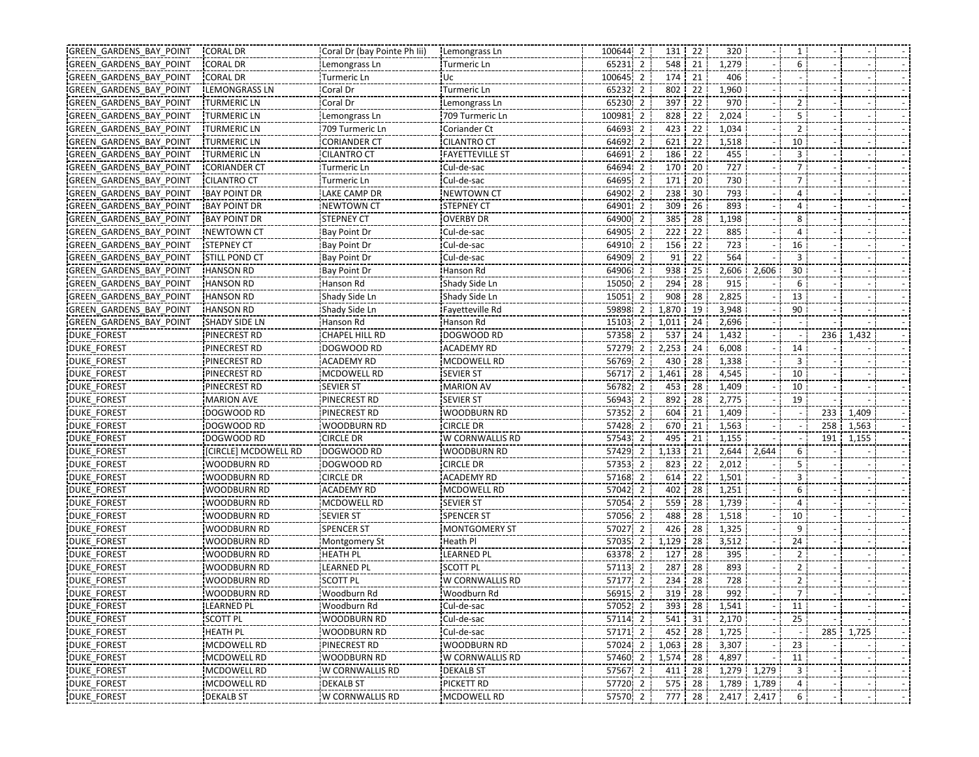| <b>GREEN GARDENS BAY POINT</b> | <b>CORAL DR</b>      | Coral Dr (bay Pointe Ph Iii) | Lemongrass Ln          | 100644 2                 | 131 22   |                | 320   |       |                |     |           |  |
|--------------------------------|----------------------|------------------------------|------------------------|--------------------------|----------|----------------|-------|-------|----------------|-----|-----------|--|
| GREEN_GARDENS_BAY_POINT        | <b>CORAL DR</b>      | Lemongrass Ln                | Turmeric Ln            | 65231 2                  | 548      | 21             | 1,279 |       | 6              |     |           |  |
| <b>GREEN GARDENS BAY POINT</b> | <b>CORAL DR</b>      | Turmeric Ln                  | Uc.                    | 100645 2                 | 174      | 21             | 406   |       |                |     |           |  |
| GREEN_GARDENS_BAY_POINT        | <b>LEMONGRASS LN</b> | Coral Dr                     | Turmeric Ln            | 65232 2                  | 802      | $\frac{22}{1}$ | 1,960 |       |                |     |           |  |
| GREEN GARDENS BAY POINT        | <b>TURMERIC LN</b>   | Coral Dr                     | Lemongrass Ln          | 65230 2                  | 397      | 22             | 970   |       |                |     |           |  |
| <b>GREEN GARDENS BAY POINT</b> | <b>TURMERIC LN</b>   | Lemongrass Ln                | 709 Turmeric Ln        | 100981<br>$\overline{2}$ | 828      | 22             | 2,024 |       | 5              |     |           |  |
| <b>GREEN GARDENS BAY POINT</b> | <b>TURMERIC LN</b>   | 709 Turmeric Ln              | Coriander Ct           | 64693 2                  | 423      | 22             | 1,034 |       | $\mathcal{I}$  |     |           |  |
| GREEN_GARDENS_BAY_POINT        | <b>TURMERIC LN</b>   | <b>CORIANDER CT</b>          | <b>CILANTRO CT</b>     | 64692 2                  | 621      | 22             | 1,518 |       | 10             |     |           |  |
| GREEN GARDENS BAY POINT        | <b>TURMERIC LN</b>   | <b>CILANTRO CT</b>           | <b>FAYETTEVILLE ST</b> | 64691 2                  | 186      | 22             | 455   |       | 3              |     |           |  |
| <b>GREEN GARDENS BAY POINT</b> | <b>CORIANDER CT</b>  | Turmeric Ln                  | Cul-de-sac             | 64694<br>-2              | 170      | 20             | 727   |       |                |     |           |  |
| <b>GREEN GARDENS BAY POINT</b> | <b>CILANTRO CT</b>   | Turmeric Ln                  | Cul-de-sac             | 64695 2                  | 171      | 20             | 730   |       |                |     |           |  |
| GREEN_GARDENS_BAY_POINT        | <b>BAY POINT DR</b>  | LAKE CAMP DR                 | <b>NEWTOWN CT</b>      | 64902 2                  | 238      | 30             | 793   |       |                |     |           |  |
| <b>GREEN GARDENS BAY POINT</b> | <b>BAY POINT DR</b>  | NEWTOWN CT                   | <b>STEPNEY CT</b>      | 64901 2                  | 309      | 26             | 893   |       | Δ              |     |           |  |
| <b>GREEN GARDENS BAY POINT</b> | <b>BAY POINT DR</b>  | <b>STEPNEY CT</b>            | <b>OVERBY DR</b>       | 64900<br>$\overline{2}$  | 385      | 28             | 1,198 |       | 8              |     |           |  |
| <b>GREEN GARDENS BAY POINT</b> | <b>NEWTOWN CT</b>    | <b>Bay Point Dr</b>          | Cul-de-sac             | 64905 2                  | 222      | 22             | 885   |       | 4              |     |           |  |
| GREEN_GARDENS_BAY_POINT        | <b>STEPNEY CT</b>    | <b>Bay Point Dr</b>          | Cul-de-sac             | 64910 2                  | 156 22   |                | 723   |       | 16             |     |           |  |
| <b>GREEN GARDENS BAY POINT</b> | <b>STILL POND CT</b> | Bay Point Dr                 | Cul-de-sac             | 64909 2                  | 91       | 22             | 564   |       | 3              |     |           |  |
| <b>GREEN GARDENS BAY POINT</b> | <b>HANSON RD</b>     | Bay Point Dr                 | Hanson Rd              | 64906<br>$\overline{2}$  | 938      | 25             | 2,606 | 2,606 | 30             |     |           |  |
| <b>GREEN GARDENS BAY POINT</b> | <b>HANSON RD</b>     | Hanson Rd                    | Shady Side Ln          | 15050 2                  | 294      | 28             | 915   |       | 6              |     |           |  |
| GREEN_GARDENS_BAY_POINT        | <b>HANSON RD</b>     | Shady Side Ln                | Shady Side Ln          | 15051<br>2               | 908      | 28             | 2,825 |       | 13             |     |           |  |
| GREEN GARDENS BAY POINT        | <b>HANSON RD</b>     | Shady Side Ln                | Fayetteville Rd        | 59898<br>-2              | 1,870    | 19             | 3,948 |       | 90             |     |           |  |
| <b>GREEN GARDENS BAY POINT</b> | <b>SHADY SIDE LN</b> | Hanson Rd                    | Hanson Rd              | $\overline{2}$<br>15103  | 1,011    | 24             | 2,696 |       |                |     |           |  |
| <b>DUKE FOREST</b>             | PINECREST RD         | CHAPEL HILL RD               | DOGWOOD RD             | 57358 2                  | 537      | 24             | 1,432 |       |                | 236 | 1,432     |  |
| <b>DUKE FOREST</b>             | <b>PINECREST RD</b>  | DOGWOOD RD                   | <b>ACADEMY RD</b>      | 57279 2                  | 2,253    | 24             | 6,008 |       | 14             |     |           |  |
| <b>DUKE FOREST</b>             | <b>PINECREST RD</b>  | <b>ACADEMY RD</b>            | MCDOWELL RD            | 56769<br>2               | 430      | 28             | 1,338 |       | 3              |     |           |  |
| <b>DUKE FOREST</b>             | <b>PINECREST RD</b>  | MCDOWELL RD                  | <b>SEVIER ST</b>       | 56717 2                  | 1,461    | 28             | 4,545 |       | 10             |     |           |  |
| <b>DUKE FOREST</b>             | PINECREST RD         | <b>SEVIER ST</b>             | <b>MARION AV</b>       | 56782 2                  | 453      | 28             | 1,409 |       | $\frac{10}{1}$ |     |           |  |
| <b>DUKE FOREST</b>             | <b>MARION AVE</b>    | PINECREST RD                 | <b>SEVIER ST</b>       | 56943 2                  | 892      | 28             | 2,775 |       | 19             |     |           |  |
| <b>DUKE FOREST</b>             | DOGWOOD RD           | PINECREST RD                 | <b>WOODBURN RD</b>     | 57352 2                  | 604      | 21             | 1,409 |       |                | 233 | 1,409     |  |
| <b>DUKE FOREST</b>             | DOGWOOD RD           | <b>WOODBURN RD</b>           | <b>CIRCLE DR</b>       | 57428 2                  | 670 21   |                | 1,563 |       |                | 258 | 1,563     |  |
| DUKE_FOREST                    | DOGWOOD RD           | <b>CIRCLE DR</b>             | W CORNWALLIS RD        | 57543 2                  | 495      | 21             | 1,155 |       |                | 191 | 1,155     |  |
| <b>DUKE FOREST</b>             | [CIRCLE] MCDOWELL RD | DOGWOOD RD                   | <b>WOODBURN RD</b>     | 57429 2                  | 1,133 21 |                | 2,644 | 2,644 | 6              |     |           |  |
| <b>DUKE FOREST</b>             | WOODBURN RD          | DOGWOOD RD                   | <b>CIRCLE DR</b>       | 57353 2                  | 823      | 22             | 2,012 |       | 5              |     |           |  |
| <b>DUKE FOREST</b>             | <b>WOODBURN RD</b>   | <b>CIRCLE DR</b>             | <b>ACADEMY RD</b>      | 57168 2                  | 614      | 22             | 1,501 |       | 3              |     |           |  |
| <b>DUKE FOREST</b>             | WOODBURN RD          | <b>ACADEMY RD</b>            | MCDOWELL RD            | 57042 2                  | 402      | 28             | 1,251 |       | 6              |     |           |  |
| <b>DUKE FOREST</b>             | WOODBURN RD          | MCDOWELL RD                  | <b>SEVIER ST</b>       | 57054 2                  | 559      | 28             | 1,739 |       | Δ              |     |           |  |
| <b>DUKE FOREST</b>             | WOODBURN RD          | <b>SEVIER ST</b>             | <b>SPENCER ST</b>      | 57056 2                  | 488      | 28             | 1,518 |       | 10             |     |           |  |
| <b>DUKE FOREST</b>             | <b>WOODBURN RD</b>   | <b>SPENCER ST</b>            | MONTGOMERY ST          | 57027 2                  | 426 28   |                | 1,325 |       | 9              |     |           |  |
| <b>DUKE_FOREST</b>             | WOODBURN RD          | Montgomery St                | Heath Pl               | 57035 2                  | 1,129 28 |                | 3,512 |       | 24             |     |           |  |
| <b>DUKE_FOREST</b>             | WOODBURN RD          | <b>HEATH PL</b>              | LEARNED PL             | 63378 2                  | 127      | 28             | 395   |       |                |     |           |  |
| <b>DUKE_FOREST</b>             | <b>WOODBURN RD</b>   | <b>LEARNED PL</b>            | <b>SCOTT PL</b>        | 57113<br>$\overline{2}$  | 287      | 28             | 893   |       | ς              |     |           |  |
| <b>DUKE FOREST</b>             | <b>WOODBURN RD</b>   | <b>SCOTT PL</b>              | W CORNWALLIS RD        | 57177 2                  | 234      | 28             | 728   |       | 2              |     |           |  |
| <b>DUKE FOREST</b>             | <b>WOODBURN RD</b>   | Woodburn Rd                  | Woodburn Rd            | 56915 2                  | 319      | 28             | 992   |       | <b>7</b> I     |     |           |  |
| DUKE FOREST                    | <b>LEARNED PL</b>    | Woodburn Rd                  | Cul-de-sac             | 57052 2                  | 393      | 28             | 1,541 |       | 11             |     |           |  |
| <b>DUKE FOREST</b>             | <b>SCOTT PL</b>      | WOODBURN RD                  | Cul-de-sac             | 57114 2                  | 541      | 31             | 2,170 |       | 25             |     |           |  |
| <b>DUKE FOREST</b>             | <b>HEATH PL</b>      | <b>WOODBURN RD</b>           | Cul-de-sac             | 57171 2                  | 452 28   |                | 1,725 |       |                |     | 285 1,725 |  |
| <b>DUKE FOREST</b>             | MCDOWELL RD          | <b>PINECREST RD</b>          | <b>WOODBURN RD</b>     | 57024 2                  | 1,063 28 |                | 3,307 |       | 23             |     |           |  |
| <b>DUKE FOREST</b>             | MCDOWELL RD          | WOODBURN RD                  | W CORNWALLIS RD        | 57460 2                  | 1,574    | 28             | 4,897 |       | 11             |     |           |  |
| <b>DUKE FOREST</b>             | MCDOWELL RD          | <b>W CORNWALLIS RD</b>       | <b>DEKALB ST</b>       | 57567 2                  | 411      | 28             | 1,279 | 1,279 | 3              |     |           |  |
| DUKE_FOREST                    | MCDOWELL RD          | <b>DEKALB ST</b>             | PICKETT RD             | 57720 2                  | 575 28   |                | 1,789 | 1,789 | 4              |     |           |  |
| <b>DUKE FOREST</b>             | <b>DEKALB ST</b>     | W CORNWALLIS RD              | MCDOWELL RD            | 57570 2                  | 777 28   |                | 2,417 | 2,417 | 6              |     |           |  |